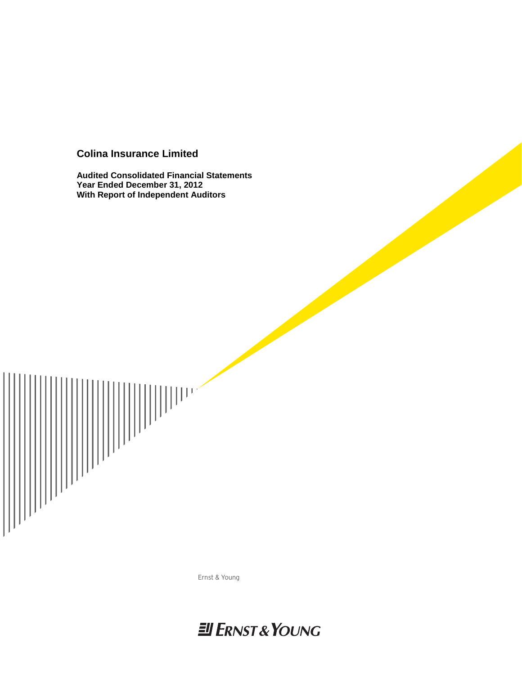**Colina Insurance Limited** 

**Audited Consolidated Financial Statements Year Ended December 31, 2012 With Report of Independent Auditors** 

Ernst & Young

**Ell ERNST & YOUNG**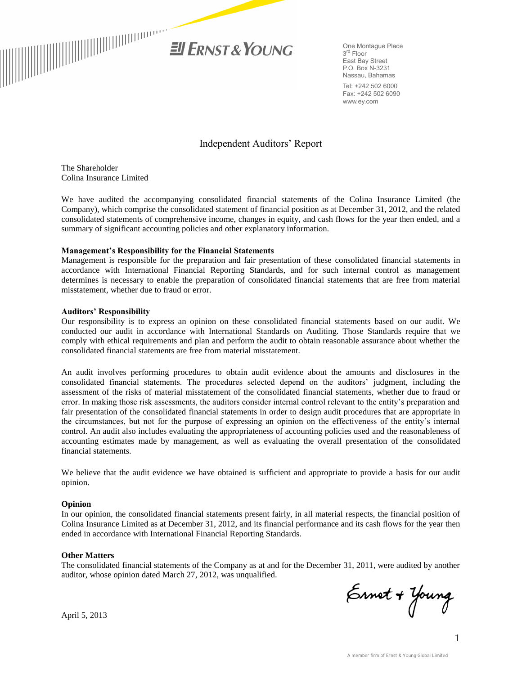

One Montague Place 3<sup>rd</sup> Floor East Bay Street P.O. Box N-3231 Nassau, Bahamas Tel: +242 502 6000 Fax: +242 502 6090 www.ey.com

# Independent Auditors' Report

The Shareholder Colina Insurance Limited

We have audited the accompanying consolidated financial statements of the Colina Insurance Limited (the Company), which comprise the consolidated statement of financial position as at December 31, 2012, and the related consolidated statements of comprehensive income, changes in equity, and cash flows for the year then ended, and a summary of significant accounting policies and other explanatory information.

## **Management's Responsibility for the Financial Statements**

Management is responsible for the preparation and fair presentation of these consolidated financial statements in accordance with International Financial Reporting Standards, and for such internal control as management determines is necessary to enable the preparation of consolidated financial statements that are free from material misstatement, whether due to fraud or error.

## **Auditors' Responsibility**

Our responsibility is to express an opinion on these consolidated financial statements based on our audit. We conducted our audit in accordance with International Standards on Auditing. Those Standards require that we comply with ethical requirements and plan and perform the audit to obtain reasonable assurance about whether the consolidated financial statements are free from material misstatement.

An audit involves performing procedures to obtain audit evidence about the amounts and disclosures in the consolidated financial statements. The procedures selected depend on the auditors' judgment, including the assessment of the risks of material misstatement of the consolidated financial statements, whether due to fraud or error. In making those risk assessments, the auditors consider internal control relevant to the entity's preparation and fair presentation of the consolidated financial statements in order to design audit procedures that are appropriate in the circumstances, but not for the purpose of expressing an opinion on the effectiveness of the entity's internal control. An audit also includes evaluating the appropriateness of accounting policies used and the reasonableness of accounting estimates made by management, as well as evaluating the overall presentation of the consolidated financial statements.

We believe that the audit evidence we have obtained is sufficient and appropriate to provide a basis for our audit opinion.

## **Opinion**

In our opinion, the consolidated financial statements present fairly, in all material respects, the financial position of Colina Insurance Limited as at December 31, 2012, and its financial performance and its cash flows for the year then ended in accordance with International Financial Reporting Standards.

# **Other Matters**

The consolidated financial statements of the Company as at and for the December 31, 2011, were audited by another auditor, whose opinion dated March 27, 2012, was unqualified.

Ernet + Young

April 5, 2013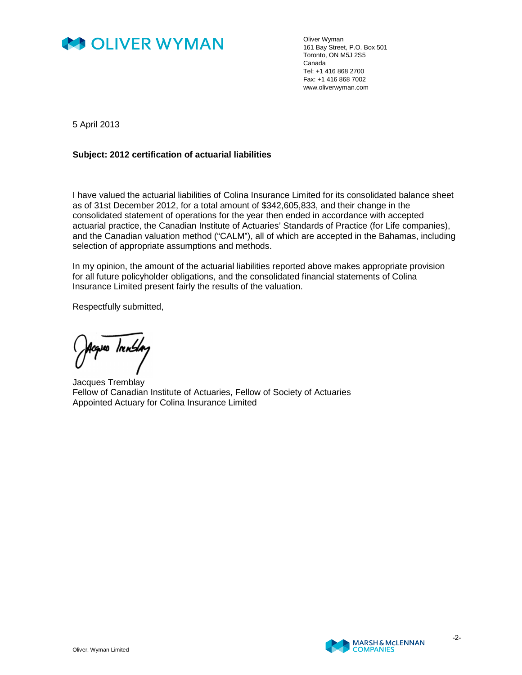

Oliver Wyman 161 Bay Street, P.O. Box 501 Toronto, ON M5J 2S5 Canada Tel: +1 416 868 2700 Fax: +1 416 868 7002 www.oliverwyman.com

5 April 2013

# **Subject: 2012 certification of actuarial liabilities**

I have valued the actuarial liabilities of Colina Insurance Limited for its consolidated balance sheet as of 31st December 2012, for a total amount of \$342,605,833, and their change in the consolidated statement of operations for the year then ended in accordance with accepted actuarial practice, the Canadian Institute of Actuaries' Standards of Practice (for Life companies), and the Canadian valuation method ("CALM"), all of which are accepted in the Bahamas, including selection of appropriate assumptions and methods.

In my opinion, the amount of the actuarial liabilities reported above makes appropriate provision for all future policyholder obligations, and the consolidated financial statements of Colina Insurance Limited present fairly the results of the valuation.

Respectfully submitted,

cquo Inn*hay* 

Jacques Tremblay Fellow of Canadian Institute of Actuaries, Fellow of Society of Actuaries Appointed Actuary for Colina Insurance Limited

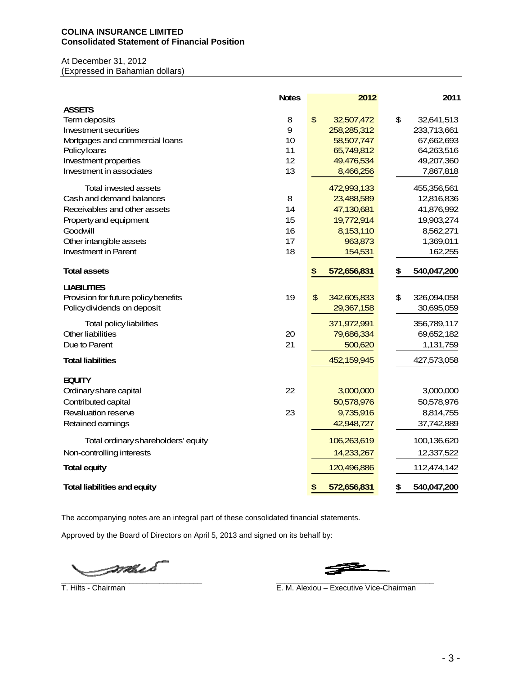# **COLINA INSURANCE LIMITED Consolidated Statement of Financial Position**

# At December 31, 2012 (Expressed in Bahamian dollars)

|                                      | <b>Notes</b> | 2012              |    | 2011        |
|--------------------------------------|--------------|-------------------|----|-------------|
| <b>ASSETS</b>                        |              |                   |    |             |
| Term deposits                        | 8            | \$<br>32,507,472  | \$ | 32,641,513  |
| <b>Investment securities</b>         | 9            | 258,285,312       |    | 233,713,661 |
| Mortgages and commercial loans       | 10           | 58,507,747        |    | 67,662,693  |
| Policy loans                         | 11           | 65,749,812        |    | 64,263,516  |
| Investment properties                | 12           | 49,476,534        |    | 49,207,360  |
| Investment in associates             | 13           | 8,466,256         |    | 7,867,818   |
| Total invested assets                |              | 472,993,133       |    | 455,356,561 |
| Cash and demand balances             | 8            | 23,488,589        |    | 12,816,836  |
| Receivables and other assets         | 14           | 47,130,681        |    | 41,876,992  |
| Property and equipment               | 15           | 19,772,914        |    | 19,903,274  |
| Goodwill                             | 16           | 8,153,110         |    | 8,562,271   |
| Other intangible assets              | 17           | 963,873           |    | 1,369,011   |
| <b>Investment in Parent</b>          | 18           | 154,531           |    | 162,255     |
| <b>Total assets</b>                  |              | 572,656,831<br>S  | S  | 540,047,200 |
| <b>UABILITIES</b>                    |              |                   |    |             |
| Provision for future policy benefits | 19           | \$<br>342,605,833 | \$ | 326,094,058 |
| Policy dividends on deposit          |              | 29,367,158        |    | 30,695,059  |
| Total policy liabilities             |              | 371,972,991       |    | 356,789,117 |
| <b>Other liabilities</b>             | 20           | 79,686,334        |    | 69,652,182  |
| Due to Parent                        | 21           | 500,620           |    | 1,131,759   |
| <b>Total liabilities</b>             |              | 452,159,945       |    | 427,573,058 |
| <b>EQUITY</b>                        |              |                   |    |             |
| Ordinary share capital               | 22           | 3,000,000         |    | 3,000,000   |
| Contributed capital                  |              | 50,578,976        |    | 50,578,976  |
| Revaluation reserve                  | 23           | 9,735,916         |    | 8,814,755   |
| Retained earnings                    |              | 42,948,727        |    | 37,742,889  |
| Total ordinary shareholders' equity  |              | 106,263,619       |    | 100,136,620 |
| Non-controlling interests            |              | 14,233,267        |    | 12,337,522  |
| <b>Total equity</b>                  |              | 120,496,886       |    | 112,474,142 |
| <b>Total liabilities and equity</b>  |              | 572,656,831<br>\$ | \$ | 540,047,200 |

The accompanying notes are an integral part of these consolidated financial statements.

Approved by the Board of Directors on April 5, 2013 and signed on its behalf by:

mbes  $\frac{1}{2}$  ,  $\frac{1}{2}$  ,  $\frac{1}{2}$  ,  $\frac{1}{2}$  ,  $\frac{1}{2}$  ,  $\frac{1}{2}$  ,  $\frac{1}{2}$  ,  $\frac{1}{2}$  ,  $\frac{1}{2}$  ,  $\frac{1}{2}$  ,  $\frac{1}{2}$  ,  $\frac{1}{2}$  ,  $\frac{1}{2}$  ,  $\frac{1}{2}$  ,  $\frac{1}{2}$  ,  $\frac{1}{2}$  ,  $\frac{1}{2}$  ,  $\frac{1}{2}$  ,  $\frac{1$ 

F

T. Hilts - Chairman **E. M. Alexiou – Executive Vice-Chairman**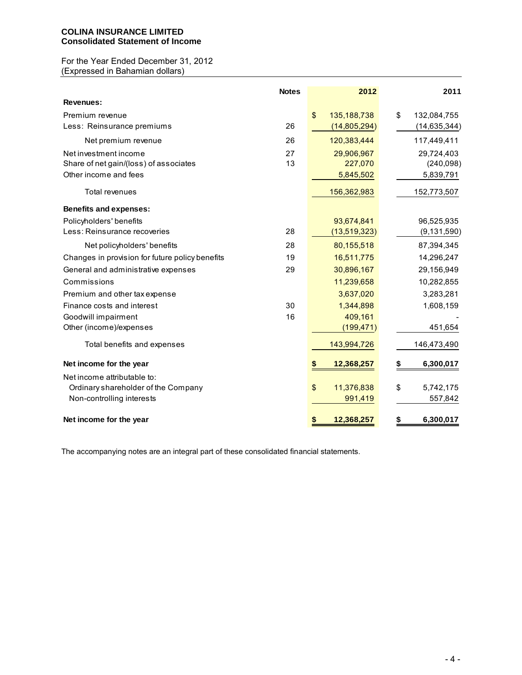# **COLINA INSURANCE LIMITED Consolidated Statement of Income**

For the Year Ended December 31, 2012 (Expressed in Bahamian dollars)

|                                                 | <b>Notes</b> | 2012              | 2011              |
|-------------------------------------------------|--------------|-------------------|-------------------|
| <b>Revenues:</b>                                |              |                   |                   |
| Premium revenue                                 |              | \$<br>135,188,738 | \$<br>132,084,755 |
| Less: Reinsurance premiums                      | 26           | (14,805,294)      | (14, 635, 344)    |
| Net premium revenue                             | 26           | 120,383,444       | 117,449,411       |
| Net investment income                           | 27           | 29,906,967        | 29,724,403        |
| Share of net gain/(loss) of associates          | 13           | 227,070           | (240, 098)        |
| Other income and fees                           |              | 5,845,502         | 5,839,791         |
| <b>Total revenues</b>                           |              | 156,362,983       | 152,773,507       |
| <b>Benefits and expenses:</b>                   |              |                   |                   |
| Policyholders' benefits                         |              | 93,674,841        | 96,525,935        |
| Less: Reinsurance recoveries                    | 28           | (13,519,323)      | (9, 131, 590)     |
| Net policyholders' benefits                     | 28           | 80,155,518        | 87,394,345        |
| Changes in provision for future policy benefits | 19           | 16,511,775        | 14,296,247        |
| General and administrative expenses             | 29           | 30,896,167        | 29,156,949        |
| Commissions                                     |              | 11,239,658        | 10,282,855        |
| Premium and other tax expense                   |              | 3,637,020         | 3,283,281         |
| Finance costs and interest                      | 30           | 1,344,898         | 1,608,159         |
| Goodwill impairment                             | 16           | 409,161           |                   |
| Other (income)/expenses                         |              | (199, 471)        | 451,654           |
| Total benefits and expenses                     |              | 143,994,726       | 146,473,490       |
| Net income for the year                         |              | 12,368,257        | 6,300,017         |
| Net income attributable to:                     |              |                   |                   |
| Ordinary shareholder of the Company             |              | \$<br>11,376,838  | \$<br>5,742,175   |
| Non-controlling interests                       |              | 991,419           | 557,842           |
| Net income for the year                         |              | \$<br>12,368,257  | \$<br>6,300,017   |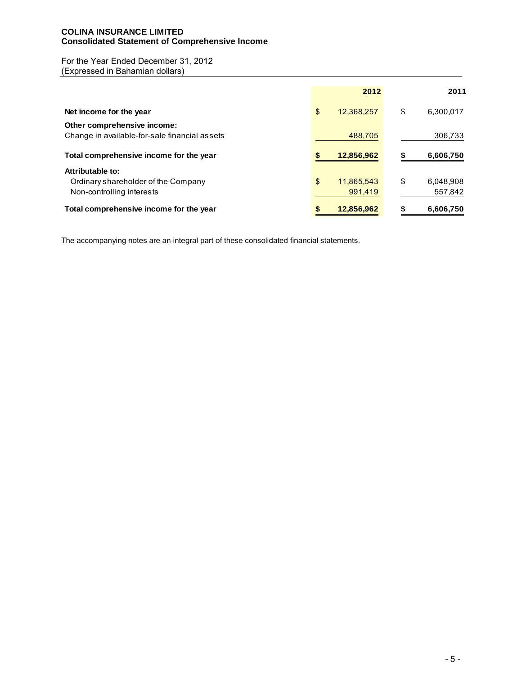# **COLINA INSURANCE LIMITED Consolidated Statement of Comprehensive Income**

For the Year Ended December 31, 2012 (Expressed in Bahamian dollars)

|                                                                                      | 2012                        | 2011                       |
|--------------------------------------------------------------------------------------|-----------------------------|----------------------------|
| Net income for the year                                                              | \$<br>12.368.257            | \$<br>6,300,017            |
| Other comprehensive income:<br>Change in available-for-sale financial assets         | 488,705                     | 306,733                    |
| Total comprehensive income for the year                                              | 12,856,962                  | 6,606,750                  |
| Attributable to:<br>Ordinary shareholder of the Company<br>Non-controlling interests | \$<br>11.865.543<br>991.419 | \$<br>6.048.908<br>557,842 |
| Total comprehensive income for the year                                              | 12,856,962                  | 6,606,750                  |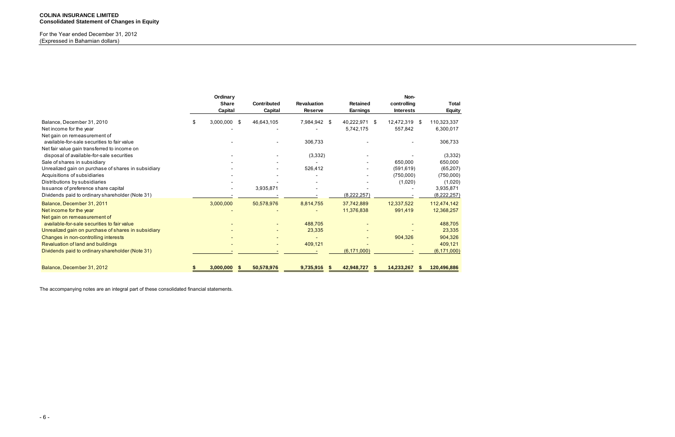|                                                     | Ordinary        |     |             |                    |    |                    | Non-             |               |
|-----------------------------------------------------|-----------------|-----|-------------|--------------------|----|--------------------|------------------|---------------|
|                                                     | <b>Share</b>    |     | Contributed | <b>Revaluation</b> |    | <b>Retained</b>    | controlling      | <b>Total</b>  |
|                                                     | <b>Capital</b>  |     | Capital     | <b>Reserve</b>     |    | <b>Earnings</b>    | <b>Interests</b> | <b>Equity</b> |
| Balance, December 31, 2010                          | \$<br>3,000,000 | \$  | 46,643,105  | 7,984,942 \$       |    | 40,222,971<br>- \$ | 12,472,319 \$    | 110,323,337   |
| Net income for the year                             |                 |     |             |                    |    | 5,742,175          | 557,842          | 6,300,017     |
| Net gain on remeasurement of                        |                 |     |             |                    |    |                    |                  |               |
| available-for-sale securities to fair value         |                 |     |             | 306.733            |    |                    |                  | 306,733       |
| Net fair value gain transferred to income on        |                 |     |             |                    |    |                    |                  |               |
| disposal of available-for-sale securities           |                 |     |             | (3,332)            |    |                    |                  | (3,332)       |
| Sale of shares in subsidiary                        |                 |     |             |                    |    |                    | 650,000          | 650,000       |
| Unrealized gain on purchase of shares in subsidiary |                 |     |             | 526,412            |    |                    | (591, 619)       | (65, 207)     |
| Acquisitions of subsidiaries                        |                 |     |             |                    |    |                    | (750,000)        | (750,000)     |
| Distributions by subsidiaries                       |                 |     |             |                    |    |                    | (1,020)          | (1,020)       |
| Issuance of preference share capital                |                 |     | 3,935,871   |                    |    |                    |                  | 3,935,871     |
| Dividends paid to ordinary shareholder (Note 31)    |                 |     |             |                    |    | (8,222,257)        |                  | (8,222,257)   |
| Balance, December 31, 2011                          | 3,000,000       |     | 50,578,976  | 8,814,755          |    | 37,742,889         | 12,337,522       | 112,474,142   |
| Net income for the year                             |                 |     |             |                    |    | 11,376,838         | 991,419          | 12,368,257    |
| Net gain on remeasurement of                        |                 |     |             |                    |    |                    |                  |               |
| available-for-sale securities to fair value         |                 |     |             | 488,705            |    |                    |                  | 488,705       |
| Unrealized gain on purchase of shares in subsidiary |                 |     |             | 23,335             |    |                    |                  | 23,335        |
| Changes in non-controlling interests                |                 |     |             |                    |    |                    | 904,326          | 904,326       |
| Revaluation of land and buildings                   |                 |     |             | 409,121            |    |                    |                  | 409,121       |
| Dividends paid to ordinary shareholder (Note 31)    |                 |     |             |                    |    | (6,171,000)        |                  | (6,171,000)   |
| Balance, December 31, 2012                          | 3,000,000       | \$. | 50,578,976  | 9,735,916          | -S | 42,948,727<br>-S   | 14,233,267       | 120,496,886   |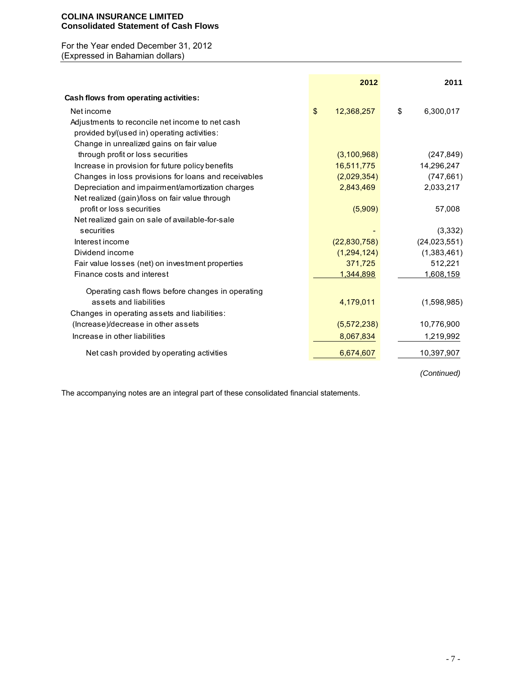# **COLINA INSURANCE LIMITED Consolidated Statement of Cash Flows**

For the Year ended December 31, 2012 (Expressed in Bahamian dollars)

|                                                      |                | 2012         | 2011            |
|------------------------------------------------------|----------------|--------------|-----------------|
| Cash flows from operating activities:                |                |              |                 |
| Net income                                           | $\mathfrak{L}$ | 12,368,257   | \$<br>6,300,017 |
| Adjustments to reconcile net income to net cash      |                |              |                 |
| provided by/(used in) operating activities:          |                |              |                 |
| Change in unrealized gains on fair value             |                |              |                 |
| through profit or loss securities                    |                | (3,100,968)  | (247, 849)      |
| Increase in provision for future policy benefits     |                | 16,511,775   | 14,296,247      |
| Changes in loss provisions for loans and receivables |                | (2,029,354)  | (747, 661)      |
| Depreciation and impairment/amortization charges     |                | 2,843,469    | 2,033,217       |
| Net realized (gain)/loss on fair value through       |                |              |                 |
| profit or loss securities                            |                | (5,909)      | 57,008          |
| Net realized gain on sale of available-for-sale      |                |              |                 |
| securities                                           |                |              | (3,332)         |
| Interest income                                      |                | (22,830,758) | (24, 023, 551)  |
| Dividend income                                      |                | (1,294,124)  | (1,383,461)     |
| Fair value losses (net) on investment properties     |                | 371,725      | 512,221         |
| Finance costs and interest                           |                | 1,344,898    | 1,608,159       |
| Operating cash flows before changes in operating     |                |              |                 |
| assets and liabilities                               |                | 4,179,011    | (1,598,985)     |
| Changes in operating assets and liabilities:         |                |              |                 |
| (Increase)/decrease in other assets                  |                | (5,572,238)  | 10,776,900      |
| Increase in other liabilities                        |                | 8,067,834    | 1,219,992       |
| Net cash provided by operating activities            |                | 6,674,607    | 10,397,907      |

*(Continued)*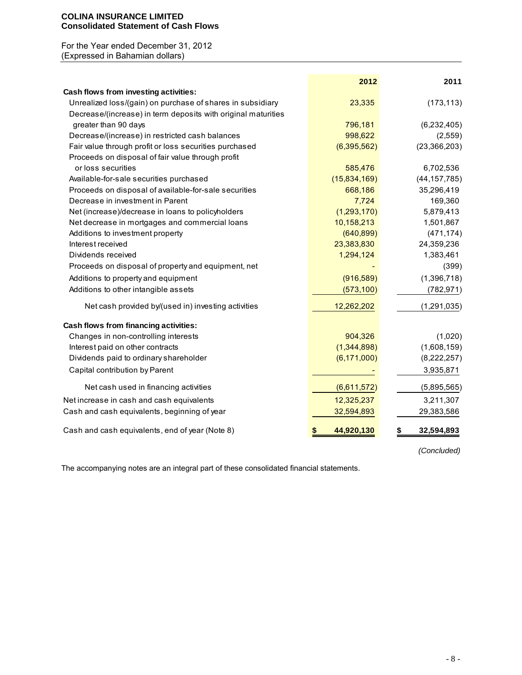# **COLINA INSURANCE LIMITED Consolidated Statement of Cash Flows**

For the Year ended December 31, 2012 (Expressed in Bahamian dollars)

|                                                               | 2012          | 2011           |
|---------------------------------------------------------------|---------------|----------------|
| Cash flows from investing activities:                         |               |                |
| Unrealized loss/(gain) on purchase of shares in subsidiary    | 23,335        | (173, 113)     |
| Decrease/(increase) in term deposits with original maturities |               |                |
| greater than 90 days                                          | 796,181       | (6, 232, 405)  |
| Decrease/(increase) in restricted cash balances               | 998,622       | (2,559)        |
| Fair value through profit or loss securities purchased        | (6,395,562)   | (23, 366, 203) |
| Proceeds on disposal of fair value through profit             |               |                |
| or loss securities                                            | 585,476       | 6,702,536      |
| Available-for-sale securities purchased                       | (15,834,169)  | (44, 157, 785) |
| Proceeds on disposal of available-for-sale securities         | 668,186       | 35,296,419     |
| Decrease in investment in Parent                              | 7,724         | 169,360        |
| Net (increase)/decrease in loans to policyholders             | (1,293,170)   | 5,879,413      |
| Net decrease in mortgages and commercial loans                | 10,158,213    | 1,501,867      |
| Additions to investment property                              | (640, 899)    | (471, 174)     |
| Interest received                                             | 23,383,830    | 24,359,236     |
| Dividends received                                            | 1,294,124     | 1,383,461      |
| Proceeds on disposal of property and equipment, net           |               | (399)          |
| Additions to property and equipment                           | (916, 589)    | (1,396,718)    |
| Additions to other intangible assets                          | (573, 100)    | (782, 971)     |
| Net cash provided by/(used in) investing activities           | 12,262,202    | (1, 291, 035)  |
| Cash flows from financing activities:                         |               |                |
| Changes in non-controlling interests                          | 904,326       | (1,020)        |
| Interest paid on other contracts                              | (1,344,898)   | (1,608,159)    |
| Dividends paid to ordinary shareholder                        | (6, 171, 000) | (8,222,257)    |
| Capital contribution by Parent                                |               | 3,935,871      |
| Net cash used in financing activities                         | (6,611,572)   | (5,895,565)    |
| Net increase in cash and cash equivalents                     | 12,325,237    | 3,211,307      |
| Cash and cash equivalents, beginning of year                  | 32,594,893    | 29,383,586     |
| Cash and cash equivalents, end of year (Note 8)               | 44,920,130    | 32,594,893     |

*(Concluded)*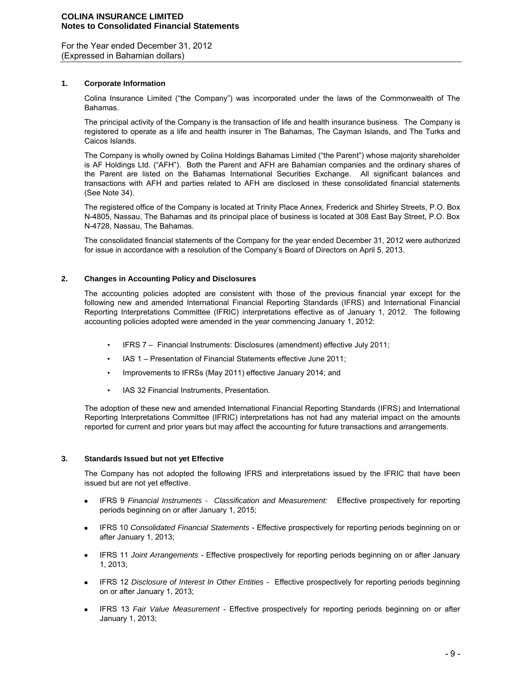## **1. Corporate Information**

Colina Insurance Limited ("the Company") was incorporated under the laws of the Commonwealth of The Bahamas.

The principal activity of the Company is the transaction of life and health insurance business. The Company is registered to operate as a life and health insurer in The Bahamas, The Cayman Islands, and The Turks and Caicos Islands.

The Company is wholly owned by Colina Holdings Bahamas Limited ("the Parent") whose majority shareholder is AF Holdings Ltd. ("AFH"). Both the Parent and AFH are Bahamian companies and the ordinary shares of the Parent are listed on the Bahamas International Securities Exchange. All significant balances and transactions with AFH and parties related to AFH are disclosed in these consolidated financial statements (See Note 34).

The registered office of the Company is located at Trinity Place Annex, Frederick and Shirley Streets, P.O. Box N-4805, Nassau, The Bahamas and its principal place of business is located at 308 East Bay Street, P.O. Box N-4728, Nassau, The Bahamas.

The consolidated financial statements of the Company for the year ended December 31, 2012 were authorized for issue in accordance with a resolution of the Company's Board of Directors on April 5, 2013.

## **2. Changes in Accounting Policy and Disclosures**

The accounting policies adopted are consistent with those of the previous financial year except for the following new and amended International Financial Reporting Standards (IFRS) and International Financial Reporting Interpretations Committee (IFRIC) interpretations effective as of January 1, 2012. The following accounting policies adopted were amended in the year commencing January 1, 2012:

- IFRS 7 Financial Instruments: Disclosures (amendment) effective July 2011;
- IAS 1 Presentation of Financial Statements effective June 2011;
- Improvements to IFRSs (May 2011) effective January 2014; and
- IAS 32 Financial Instruments, Presentation.

The adoption of these new and amended International Financial Reporting Standards (IFRS) and International Reporting Interpretations Committee (IFRIC) interpretations has not had any material impact on the amounts reported for current and prior years but may affect the accounting for future transactions and arrangements.

## **3. Standards Issued but not yet Effective**

The Company has not adopted the following IFRS and interpretations issued by the IFRIC that have been issued but are not yet effective.

- IFRS 9 *Financial Instruments Classification and Measurement:* Effective prospectively for reporting periods beginning on or after January 1, 2015;
- IFRS 10 *Consolidated Financial Statements* Effective prospectively for reporting periods beginning on or after January 1, 2013;
- IFRS 11 *Joint Arrangements* Effective prospectively for reporting periods beginning on or after January 1, 2013;
- IFRS 12 *Disclosure of Interest In Other Entities* Effective prospectively for reporting periods beginning on or after January 1, 2013;
- IFRS 13 *Fair Value Measurement* Effective prospectively for reporting periods beginning on or after January 1, 2013;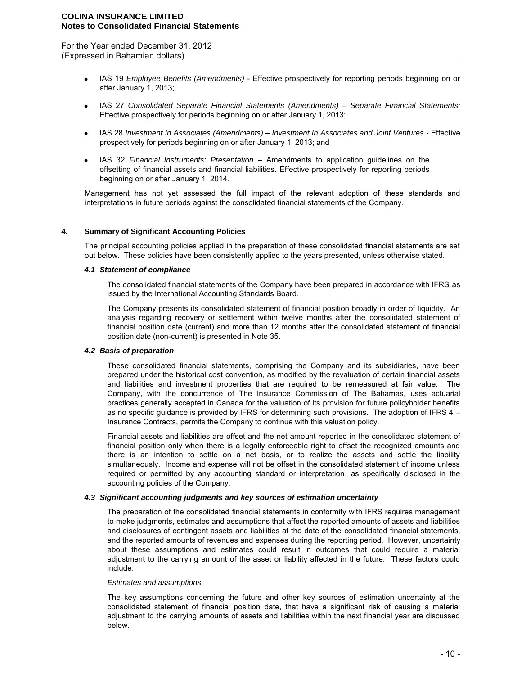- IAS 19 *Employee Benefits (Amendments)* Effective prospectively for reporting periods beginning on or  $\bullet$ after January 1, 2013;
- IAS 27 *Consolidated Separate Financial Statements (Amendments) – Separate Financial Statements:*  Effective prospectively for periods beginning on or after January 1, 2013;
- IAS 28 *Investment In Associates (Amendments) – Investment In Associates and Joint Ventures -* Effective prospectively for periods beginning on or after January 1, 2013; and
- IAS 32 *Financial Instruments: Presentation* Amendments to application guidelines on the offsetting of financial assets and financial liabilities. Effective prospectively for reporting periods beginning on or after January 1, 2014.

Management has not yet assessed the full impact of the relevant adoption of these standards and interpretations in future periods against the consolidated financial statements of the Company.

## **4. Summary of Significant Accounting Policies**

The principal accounting policies applied in the preparation of these consolidated financial statements are set out below. These policies have been consistently applied to the years presented, unless otherwise stated.

#### *4.1 Statement of compliance*

The consolidated financial statements of the Company have been prepared in accordance with IFRS as issued by the International Accounting Standards Board.

The Company presents its consolidated statement of financial position broadly in order of liquidity. An analysis regarding recovery or settlement within twelve months after the consolidated statement of financial position date (current) and more than 12 months after the consolidated statement of financial position date (non-current) is presented in Note 35.

## *4.2 Basis of preparation*

These consolidated financial statements, comprising the Company and its subsidiaries, have been prepared under the historical cost convention, as modified by the revaluation of certain financial assets and liabilities and investment properties that are required to be remeasured at fair value. The Company, with the concurrence of The Insurance Commission of The Bahamas, uses actuarial practices generally accepted in Canada for the valuation of its provision for future policyholder benefits as no specific guidance is provided by IFRS for determining such provisions. The adoption of IFRS 4 – Insurance Contracts, permits the Company to continue with this valuation policy.

Financial assets and liabilities are offset and the net amount reported in the consolidated statement of financial position only when there is a legally enforceable right to offset the recognized amounts and there is an intention to settle on a net basis, or to realize the assets and settle the liability simultaneously. Income and expense will not be offset in the consolidated statement of income unless required or permitted by any accounting standard or interpretation, as specifically disclosed in the accounting policies of the Company.

## *4.3 Significant accounting judgments and key sources of estimation uncertainty*

The preparation of the consolidated financial statements in conformity with IFRS requires management to make judgments, estimates and assumptions that affect the reported amounts of assets and liabilities and disclosures of contingent assets and liabilities at the date of the consolidated financial statements, and the reported amounts of revenues and expenses during the reporting period. However, uncertainty about these assumptions and estimates could result in outcomes that could require a material adjustment to the carrying amount of the asset or liability affected in the future. These factors could include:

#### *Estimates and assumptions*

The key assumptions concerning the future and other key sources of estimation uncertainty at the consolidated statement of financial position date, that have a significant risk of causing a material adjustment to the carrying amounts of assets and liabilities within the next financial year are discussed below.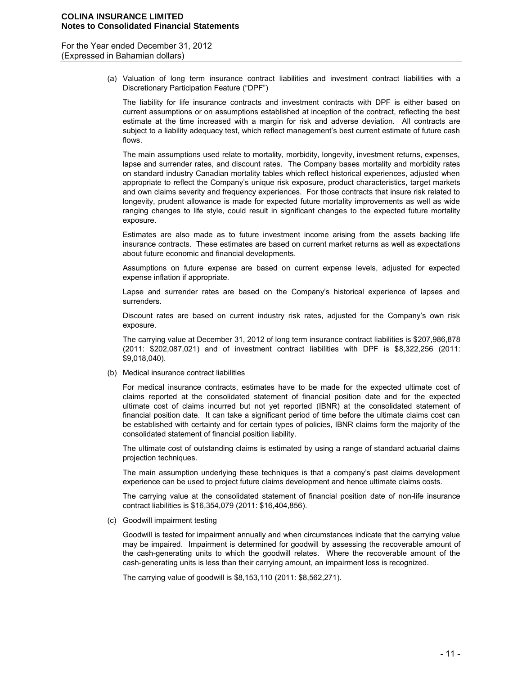> (a) Valuation of long term insurance contract liabilities and investment contract liabilities with a Discretionary Participation Feature ("DPF")

The liability for life insurance contracts and investment contracts with DPF is either based on current assumptions or on assumptions established at inception of the contract, reflecting the best estimate at the time increased with a margin for risk and adverse deviation. All contracts are subject to a liability adequacy test, which reflect management's best current estimate of future cash flows.

The main assumptions used relate to mortality, morbidity, longevity, investment returns, expenses, lapse and surrender rates, and discount rates. The Company bases mortality and morbidity rates on standard industry Canadian mortality tables which reflect historical experiences, adjusted when appropriate to reflect the Company's unique risk exposure, product characteristics, target markets and own claims severity and frequency experiences. For those contracts that insure risk related to longevity, prudent allowance is made for expected future mortality improvements as well as wide ranging changes to life style, could result in significant changes to the expected future mortality exposure.

Estimates are also made as to future investment income arising from the assets backing life insurance contracts. These estimates are based on current market returns as well as expectations about future economic and financial developments.

Assumptions on future expense are based on current expense levels, adjusted for expected expense inflation if appropriate.

Lapse and surrender rates are based on the Company's historical experience of lapses and surrenders.

Discount rates are based on current industry risk rates, adjusted for the Company's own risk exposure.

The carrying value at December 31, 2012 of long term insurance contract liabilities is \$207,986,878 (2011: \$202,087,021) and of investment contract liabilities with DPF is \$8,322,256 (2011: \$9,018,040).

(b) Medical insurance contract liabilities

For medical insurance contracts, estimates have to be made for the expected ultimate cost of claims reported at the consolidated statement of financial position date and for the expected ultimate cost of claims incurred but not yet reported (IBNR) at the consolidated statement of financial position date. It can take a significant period of time before the ultimate claims cost can be established with certainty and for certain types of policies, IBNR claims form the majority of the consolidated statement of financial position liability.

The ultimate cost of outstanding claims is estimated by using a range of standard actuarial claims projection techniques.

The main assumption underlying these techniques is that a company's past claims development experience can be used to project future claims development and hence ultimate claims costs.

The carrying value at the consolidated statement of financial position date of non-life insurance contract liabilities is \$16,354,079 (2011: \$16,404,856).

(c) Goodwill impairment testing

Goodwill is tested for impairment annually and when circumstances indicate that the carrying value may be impaired. Impairment is determined for goodwill by assessing the recoverable amount of the cash-generating units to which the goodwill relates. Where the recoverable amount of the cash-generating units is less than their carrying amount, an impairment loss is recognized.

The carrying value of goodwill is \$8,153,110 (2011: \$8,562,271).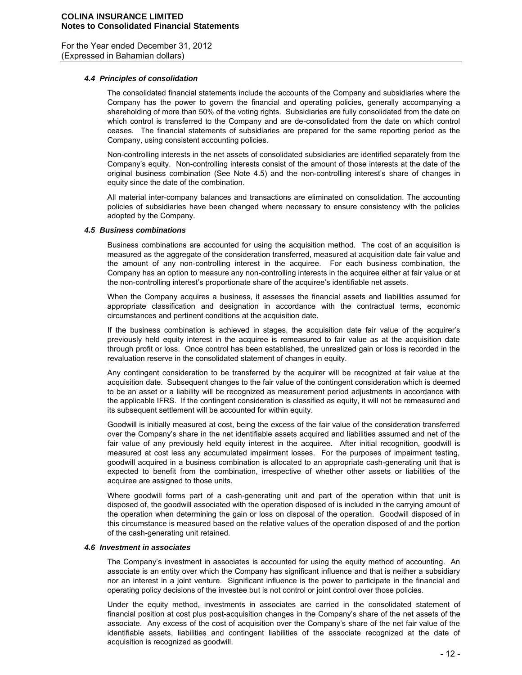### *4.4 Principles of consolidation*

The consolidated financial statements include the accounts of the Company and subsidiaries where the Company has the power to govern the financial and operating policies, generally accompanying a shareholding of more than 50% of the voting rights. Subsidiaries are fully consolidated from the date on which control is transferred to the Company and are de-consolidated from the date on which control ceases. The financial statements of subsidiaries are prepared for the same reporting period as the Company, using consistent accounting policies.

Non-controlling interests in the net assets of consolidated subsidiaries are identified separately from the Company's equity. Non-controlling interests consist of the amount of those interests at the date of the original business combination (See Note 4.5) and the non-controlling interest's share of changes in equity since the date of the combination.

All material inter-company balances and transactions are eliminated on consolidation. The accounting policies of subsidiaries have been changed where necessary to ensure consistency with the policies adopted by the Company.

## *4.5 Business combinations*

Business combinations are accounted for using the acquisition method. The cost of an acquisition is measured as the aggregate of the consideration transferred, measured at acquisition date fair value and the amount of any non-controlling interest in the acquiree. For each business combination, the Company has an option to measure any non-controlling interests in the acquiree either at fair value or at the non-controlling interest's proportionate share of the acquiree's identifiable net assets.

When the Company acquires a business, it assesses the financial assets and liabilities assumed for appropriate classification and designation in accordance with the contractual terms, economic circumstances and pertinent conditions at the acquisition date.

If the business combination is achieved in stages, the acquisition date fair value of the acquirer's previously held equity interest in the acquiree is remeasured to fair value as at the acquisition date through profit or loss. Once control has been established, the unrealized gain or loss is recorded in the revaluation reserve in the consolidated statement of changes in equity.

Any contingent consideration to be transferred by the acquirer will be recognized at fair value at the acquisition date. Subsequent changes to the fair value of the contingent consideration which is deemed to be an asset or a liability will be recognized as measurement period adjustments in accordance with the applicable IFRS. If the contingent consideration is classified as equity, it will not be remeasured and its subsequent settlement will be accounted for within equity.

Goodwill is initially measured at cost, being the excess of the fair value of the consideration transferred over the Company's share in the net identifiable assets acquired and liabilities assumed and net of the fair value of any previously held equity interest in the acquiree. After initial recognition, goodwill is measured at cost less any accumulated impairment losses. For the purposes of impairment testing, goodwill acquired in a business combination is allocated to an appropriate cash-generating unit that is expected to benefit from the combination, irrespective of whether other assets or liabilities of the acquiree are assigned to those units.

Where goodwill forms part of a cash-generating unit and part of the operation within that unit is disposed of, the goodwill associated with the operation disposed of is included in the carrying amount of the operation when determining the gain or loss on disposal of the operation. Goodwill disposed of in this circumstance is measured based on the relative values of the operation disposed of and the portion of the cash-generating unit retained.

# *4.6 Investment in associates*

The Company's investment in associates is accounted for using the equity method of accounting. An associate is an entity over which the Company has significant influence and that is neither a subsidiary nor an interest in a joint venture. Significant influence is the power to participate in the financial and operating policy decisions of the investee but is not control or joint control over those policies.

Under the equity method, investments in associates are carried in the consolidated statement of financial position at cost plus post-acquisition changes in the Company's share of the net assets of the associate. Any excess of the cost of acquisition over the Company's share of the net fair value of the identifiable assets, liabilities and contingent liabilities of the associate recognized at the date of acquisition is recognized as goodwill.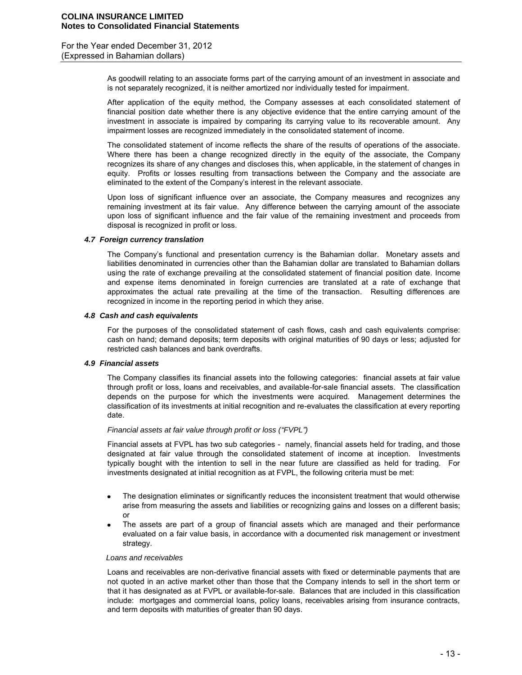> As goodwill relating to an associate forms part of the carrying amount of an investment in associate and is not separately recognized, it is neither amortized nor individually tested for impairment.

> After application of the equity method, the Company assesses at each consolidated statement of financial position date whether there is any objective evidence that the entire carrying amount of the investment in associate is impaired by comparing its carrying value to its recoverable amount. Any impairment losses are recognized immediately in the consolidated statement of income.

> The consolidated statement of income reflects the share of the results of operations of the associate. Where there has been a change recognized directly in the equity of the associate, the Company recognizes its share of any changes and discloses this, when applicable, in the statement of changes in equity. Profits or losses resulting from transactions between the Company and the associate are eliminated to the extent of the Company's interest in the relevant associate.

> Upon loss of significant influence over an associate, the Company measures and recognizes any remaining investment at its fair value. Any difference between the carrying amount of the associate upon loss of significant influence and the fair value of the remaining investment and proceeds from disposal is recognized in profit or loss.

## *4.7 Foreign currency translation*

The Company's functional and presentation currency is the Bahamian dollar. Monetary assets and liabilities denominated in currencies other than the Bahamian dollar are translated to Bahamian dollars using the rate of exchange prevailing at the consolidated statement of financial position date. Income and expense items denominated in foreign currencies are translated at a rate of exchange that approximates the actual rate prevailing at the time of the transaction. Resulting differences are recognized in income in the reporting period in which they arise.

### *4.8 Cash and cash equivalents*

For the purposes of the consolidated statement of cash flows, cash and cash equivalents comprise: cash on hand; demand deposits; term deposits with original maturities of 90 days or less; adjusted for restricted cash balances and bank overdrafts.

## *4.9 Financial assets*

The Company classifies its financial assets into the following categories: financial assets at fair value through profit or loss, loans and receivables, and available-for-sale financial assets. The classification depends on the purpose for which the investments were acquired. Management determines the classification of its investments at initial recognition and re-evaluates the classification at every reporting date.

#### *Financial assets at fair value through profit or loss ("FVPL")*

Financial assets at FVPL has two sub categories - namely, financial assets held for trading, and those designated at fair value through the consolidated statement of income at inception. Investments typically bought with the intention to sell in the near future are classified as held for trading. For investments designated at initial recognition as at FVPL, the following criteria must be met:

- The designation eliminates or significantly reduces the inconsistent treatment that would otherwise  $\bullet$ arise from measuring the assets and liabilities or recognizing gains and losses on a different basis; or
- The assets are part of a group of financial assets which are managed and their performance evaluated on a fair value basis, in accordance with a documented risk management or investment strategy.

#### *Loans and receivables*

Loans and receivables are non-derivative financial assets with fixed or determinable payments that are not quoted in an active market other than those that the Company intends to sell in the short term or that it has designated as at FVPL or available-for-sale. Balances that are included in this classification include: mortgages and commercial loans, policy loans, receivables arising from insurance contracts, and term deposits with maturities of greater than 90 days.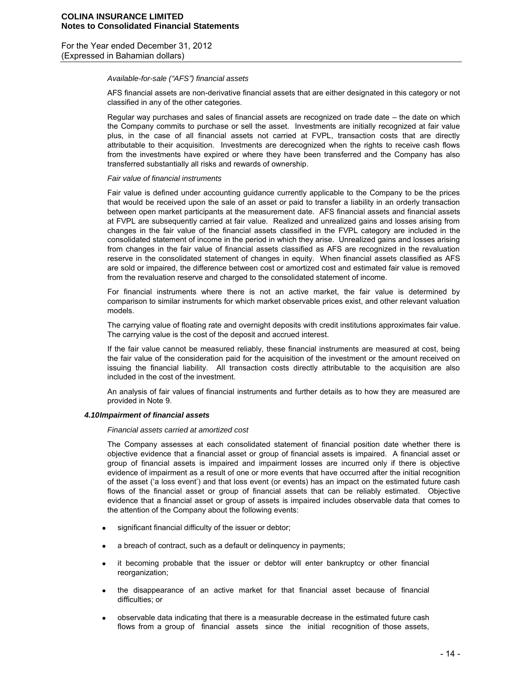### *Available-for-sale ("AFS") financial assets*

AFS financial assets are non-derivative financial assets that are either designated in this category or not classified in any of the other categories.

Regular way purchases and sales of financial assets are recognized on trade date – the date on which the Company commits to purchase or sell the asset. Investments are initially recognized at fair value plus, in the case of all financial assets not carried at FVPL, transaction costs that are directly attributable to their acquisition. Investments are derecognized when the rights to receive cash flows from the investments have expired or where they have been transferred and the Company has also transferred substantially all risks and rewards of ownership.

## *Fair value of financial instruments*

Fair value is defined under accounting guidance currently applicable to the Company to be the prices that would be received upon the sale of an asset or paid to transfer a liability in an orderly transaction between open market participants at the measurement date. AFS financial assets and financial assets at FVPL are subsequently carried at fair value. Realized and unrealized gains and losses arising from changes in the fair value of the financial assets classified in the FVPL category are included in the consolidated statement of income in the period in which they arise. Unrealized gains and losses arising from changes in the fair value of financial assets classified as AFS are recognized in the revaluation reserve in the consolidated statement of changes in equity. When financial assets classified as AFS are sold or impaired, the difference between cost or amortized cost and estimated fair value is removed from the revaluation reserve and charged to the consolidated statement of income.

For financial instruments where there is not an active market, the fair value is determined by comparison to similar instruments for which market observable prices exist, and other relevant valuation models.

The carrying value of floating rate and overnight deposits with credit institutions approximates fair value. The carrying value is the cost of the deposit and accrued interest.

If the fair value cannot be measured reliably, these financial instruments are measured at cost, being the fair value of the consideration paid for the acquisition of the investment or the amount received on issuing the financial liability. All transaction costs directly attributable to the acquisition are also included in the cost of the investment.

An analysis of fair values of financial instruments and further details as to how they are measured are provided in Note 9.

## *4.10Impairment of financial assets*

#### *Financial assets carried at amortized cost*

The Company assesses at each consolidated statement of financial position date whether there is objective evidence that a financial asset or group of financial assets is impaired. A financial asset or group of financial assets is impaired and impairment losses are incurred only if there is objective evidence of impairment as a result of one or more events that have occurred after the initial recognition of the asset ('a loss event') and that loss event (or events) has an impact on the estimated future cash flows of the financial asset or group of financial assets that can be reliably estimated. Objective evidence that a financial asset or group of assets is impaired includes observable data that comes to the attention of the Company about the following events:

- significant financial difficulty of the issuer or debtor;
- a breach of contract, such as a default or delinquency in payments;
- it becoming probable that the issuer or debtor will enter bankruptcy or other financial reorganization;
- the disappearance of an active market for that financial asset because of financial difficulties; or
- observable data indicating that there is a measurable decrease in the estimated future cash flows from a group of financial assets since the initial recognition of those assets,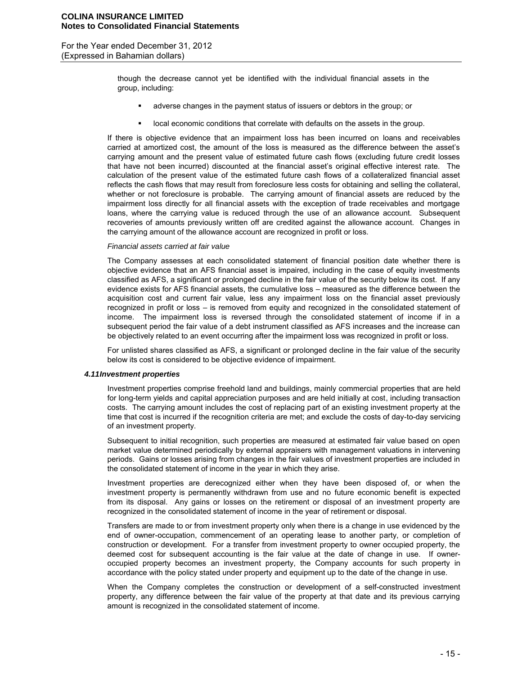For the Year ended December 31, 2012 (Expressed in Bahamian dollars)

> though the decrease cannot yet be identified with the individual financial assets in the group, including:

- adverse changes in the payment status of issuers or debtors in the group; or
- local economic conditions that correlate with defaults on the assets in the group.

If there is objective evidence that an impairment loss has been incurred on loans and receivables carried at amortized cost, the amount of the loss is measured as the difference between the asset's carrying amount and the present value of estimated future cash flows (excluding future credit losses that have not been incurred) discounted at the financial asset's original effective interest rate. The calculation of the present value of the estimated future cash flows of a collateralized financial asset reflects the cash flows that may result from foreclosure less costs for obtaining and selling the collateral, whether or not foreclosure is probable. The carrying amount of financial assets are reduced by the impairment loss directly for all financial assets with the exception of trade receivables and mortgage loans, where the carrying value is reduced through the use of an allowance account. Subsequent recoveries of amounts previously written off are credited against the allowance account. Changes in the carrying amount of the allowance account are recognized in profit or loss.

### *Financial assets carried at fair value*

The Company assesses at each consolidated statement of financial position date whether there is objective evidence that an AFS financial asset is impaired, including in the case of equity investments classified as AFS, a significant or prolonged decline in the fair value of the security below its cost. If any evidence exists for AFS financial assets, the cumulative loss – measured as the difference between the acquisition cost and current fair value, less any impairment loss on the financial asset previously recognized in profit or loss – is removed from equity and recognized in the consolidated statement of income. The impairment loss is reversed through the consolidated statement of income if in a subsequent period the fair value of a debt instrument classified as AFS increases and the increase can be objectively related to an event occurring after the impairment loss was recognized in profit or loss.

For unlisted shares classified as AFS, a significant or prolonged decline in the fair value of the security below its cost is considered to be objective evidence of impairment.

#### *4.11Investment properties*

Investment properties comprise freehold land and buildings, mainly commercial properties that are held for long-term yields and capital appreciation purposes and are held initially at cost, including transaction costs. The carrying amount includes the cost of replacing part of an existing investment property at the time that cost is incurred if the recognition criteria are met; and exclude the costs of day-to-day servicing of an investment property.

Subsequent to initial recognition, such properties are measured at estimated fair value based on open market value determined periodically by external appraisers with management valuations in intervening periods. Gains or losses arising from changes in the fair values of investment properties are included in the consolidated statement of income in the year in which they arise.

Investment properties are derecognized either when they have been disposed of, or when the investment property is permanently withdrawn from use and no future economic benefit is expected from its disposal. Any gains or losses on the retirement or disposal of an investment property are recognized in the consolidated statement of income in the year of retirement or disposal.

Transfers are made to or from investment property only when there is a change in use evidenced by the end of owner-occupation, commencement of an operating lease to another party, or completion of construction or development. For a transfer from investment property to owner occupied property, the deemed cost for subsequent accounting is the fair value at the date of change in use. If owneroccupied property becomes an investment property, the Company accounts for such property in accordance with the policy stated under property and equipment up to the date of the change in use.

When the Company completes the construction or development of a self-constructed investment property, any difference between the fair value of the property at that date and its previous carrying amount is recognized in the consolidated statement of income.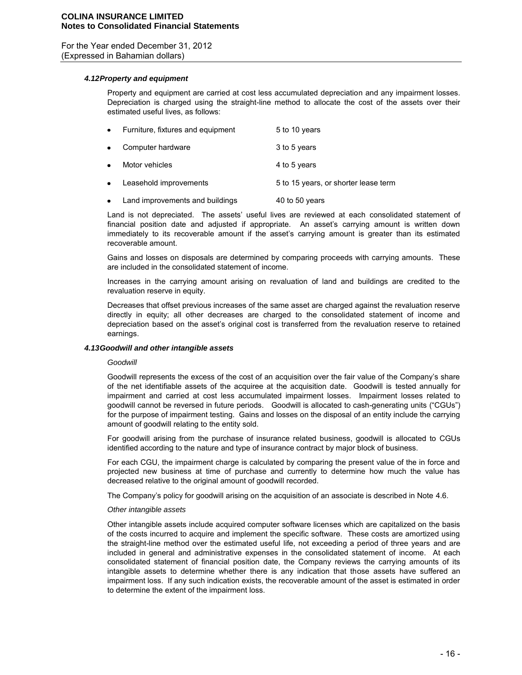## *4.12Property and equipment*

Property and equipment are carried at cost less accumulated depreciation and any impairment losses. Depreciation is charged using the straight-line method to allocate the cost of the assets over their estimated useful lives, as follows:

| $\bullet$ | Furniture, fixtures and equipment | 5 to 10 years                        |
|-----------|-----------------------------------|--------------------------------------|
| $\bullet$ | Computer hardware                 | 3 to 5 years                         |
| $\bullet$ | Motor vehicles                    | 4 to 5 years                         |
| $\bullet$ | Leasehold improvements            | 5 to 15 years, or shorter lease term |
| $\bullet$ | Land improvements and buildings   | 40 to 50 years                       |

Land is not depreciated. The assets' useful lives are reviewed at each consolidated statement of financial position date and adjusted if appropriate. An asset's carrying amount is written down immediately to its recoverable amount if the asset's carrying amount is greater than its estimated recoverable amount.

Gains and losses on disposals are determined by comparing proceeds with carrying amounts. These are included in the consolidated statement of income.

Increases in the carrying amount arising on revaluation of land and buildings are credited to the revaluation reserve in equity.

Decreases that offset previous increases of the same asset are charged against the revaluation reserve directly in equity; all other decreases are charged to the consolidated statement of income and depreciation based on the asset's original cost is transferred from the revaluation reserve to retained earnings.

## *4.13Goodwill and other intangible assets*

#### *Goodwill*

Goodwill represents the excess of the cost of an acquisition over the fair value of the Company's share of the net identifiable assets of the acquiree at the acquisition date. Goodwill is tested annually for impairment and carried at cost less accumulated impairment losses. Impairment losses related to goodwill cannot be reversed in future periods. Goodwill is allocated to cash-generating units ("CGUs") for the purpose of impairment testing. Gains and losses on the disposal of an entity include the carrying amount of goodwill relating to the entity sold.

For goodwill arising from the purchase of insurance related business, goodwill is allocated to CGUs identified according to the nature and type of insurance contract by major block of business.

For each CGU, the impairment charge is calculated by comparing the present value of the in force and projected new business at time of purchase and currently to determine how much the value has decreased relative to the original amount of goodwill recorded.

The Company's policy for goodwill arising on the acquisition of an associate is described in Note 4.6.

#### *Other intangible assets*

Other intangible assets include acquired computer software licenses which are capitalized on the basis of the costs incurred to acquire and implement the specific software. These costs are amortized using the straight-line method over the estimated useful life, not exceeding a period of three years and are included in general and administrative expenses in the consolidated statement of income. At each consolidated statement of financial position date, the Company reviews the carrying amounts of its intangible assets to determine whether there is any indication that those assets have suffered an impairment loss. If any such indication exists, the recoverable amount of the asset is estimated in order to determine the extent of the impairment loss.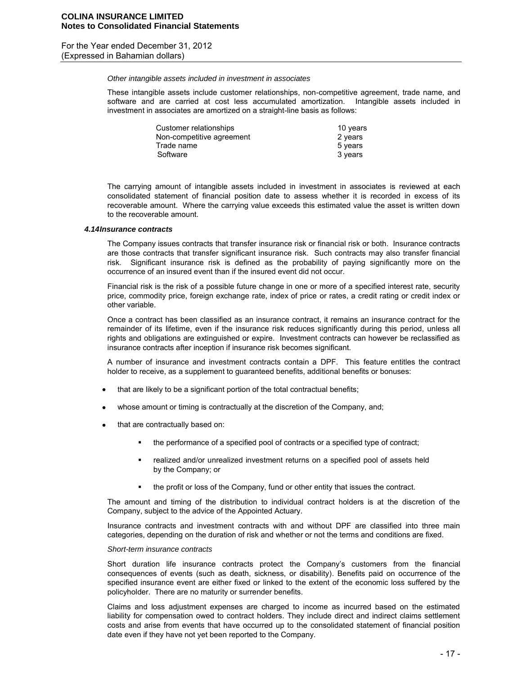#### *Other intangible assets included in investment in associates*

These intangible assets include customer relationships, non-competitive agreement, trade name, and software and are carried at cost less accumulated amortization. Intangible assets included in investment in associates are amortized on a straight-line basis as follows:

| Customer relationships    | 10 years |
|---------------------------|----------|
| Non-competitive agreement | 2 years  |
| Trade name                | 5 years  |
| Software                  | 3 years  |

The carrying amount of intangible assets included in investment in associates is reviewed at each consolidated statement of financial position date to assess whether it is recorded in excess of its recoverable amount. Where the carrying value exceeds this estimated value the asset is written down to the recoverable amount.

### *4.14Insurance contracts*

The Company issues contracts that transfer insurance risk or financial risk or both. Insurance contracts are those contracts that transfer significant insurance risk. Such contracts may also transfer financial risk. Significant insurance risk is defined as the probability of paying significantly more on the occurrence of an insured event than if the insured event did not occur.

Financial risk is the risk of a possible future change in one or more of a specified interest rate, security price, commodity price, foreign exchange rate, index of price or rates, a credit rating or credit index or other variable.

Once a contract has been classified as an insurance contract, it remains an insurance contract for the remainder of its lifetime, even if the insurance risk reduces significantly during this period, unless all rights and obligations are extinguished or expire. Investment contracts can however be reclassified as insurance contracts after inception if insurance risk becomes significant.

A number of insurance and investment contracts contain a DPF. This feature entitles the contract holder to receive, as a supplement to guaranteed benefits, additional benefits or bonuses:

- that are likely to be a significant portion of the total contractual benefits;
- whose amount or timing is contractually at the discretion of the Company, and;
- that are contractually based on:
	- the performance of a specified pool of contracts or a specified type of contract;
	- realized and/or unrealized investment returns on a specified pool of assets held by the Company; or
	- the profit or loss of the Company, fund or other entity that issues the contract.

The amount and timing of the distribution to individual contract holders is at the discretion of the Company, subject to the advice of the Appointed Actuary.

Insurance contracts and investment contracts with and without DPF are classified into three main categories, depending on the duration of risk and whether or not the terms and conditions are fixed.

#### *Short-term insurance contracts*

Short duration life insurance contracts protect the Company's customers from the financial consequences of events (such as death, sickness, or disability). Benefits paid on occurrence of the specified insurance event are either fixed or linked to the extent of the economic loss suffered by the policyholder. There are no maturity or surrender benefits.

Claims and loss adjustment expenses are charged to income as incurred based on the estimated liability for compensation owed to contract holders. They include direct and indirect claims settlement costs and arise from events that have occurred up to the consolidated statement of financial position date even if they have not yet been reported to the Company.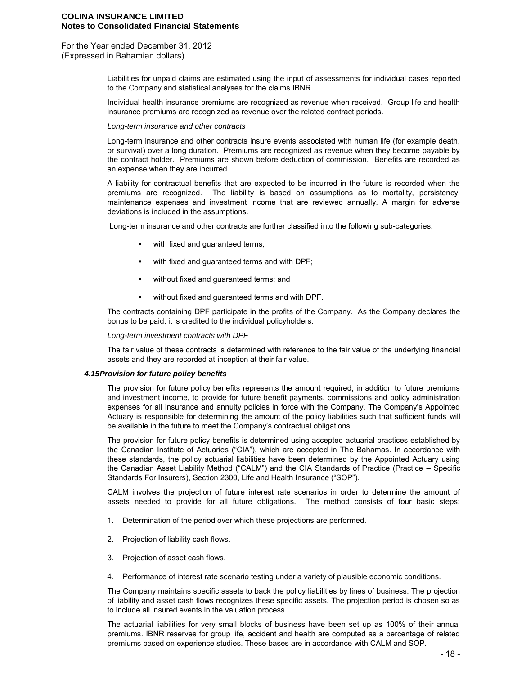> Liabilities for unpaid claims are estimated using the input of assessments for individual cases reported to the Company and statistical analyses for the claims IBNR.

> Individual health insurance premiums are recognized as revenue when received. Group life and health insurance premiums are recognized as revenue over the related contract periods.

#### *Long-term insurance and other contracts*

Long-term insurance and other contracts insure events associated with human life (for example death, or survival) over a long duration. Premiums are recognized as revenue when they become payable by the contract holder. Premiums are shown before deduction of commission. Benefits are recorded as an expense when they are incurred.

A liability for contractual benefits that are expected to be incurred in the future is recorded when the premiums are recognized. The liability is based on assumptions as to mortality, persistency, maintenance expenses and investment income that are reviewed annually. A margin for adverse deviations is included in the assumptions.

Long-term insurance and other contracts are further classified into the following sub-categories:

- with fixed and guaranteed terms;
- with fixed and guaranteed terms and with DPF;
- without fixed and guaranteed terms; and
- without fixed and guaranteed terms and with DPF.

The contracts containing DPF participate in the profits of the Company. As the Company declares the bonus to be paid, it is credited to the individual policyholders.

#### *Long-term investment contracts with DPF*

The fair value of these contracts is determined with reference to the fair value of the underlying financial assets and they are recorded at inception at their fair value.

#### *4.15Provision for future policy benefits*

The provision for future policy benefits represents the amount required, in addition to future premiums and investment income, to provide for future benefit payments, commissions and policy administration expenses for all insurance and annuity policies in force with the Company. The Company's Appointed Actuary is responsible for determining the amount of the policy liabilities such that sufficient funds will be available in the future to meet the Company's contractual obligations.

The provision for future policy benefits is determined using accepted actuarial practices established by the Canadian Institute of Actuaries ("CIA"), which are accepted in The Bahamas. In accordance with these standards, the policy actuarial liabilities have been determined by the Appointed Actuary using the Canadian Asset Liability Method ("CALM") and the CIA Standards of Practice (Practice – Specific Standards For Insurers), Section 2300, Life and Health Insurance ("SOP").

CALM involves the projection of future interest rate scenarios in order to determine the amount of assets needed to provide for all future obligations. The method consists of four basic steps:

- 1. Determination of the period over which these projections are performed.
- 2. Projection of liability cash flows.
- 3. Projection of asset cash flows.
- 4. Performance of interest rate scenario testing under a variety of plausible economic conditions.

The Company maintains specific assets to back the policy liabilities by lines of business. The projection of liability and asset cash flows recognizes these specific assets. The projection period is chosen so as to include all insured events in the valuation process.

The actuarial liabilities for very small blocks of business have been set up as 100% of their annual premiums. IBNR reserves for group life, accident and health are computed as a percentage of related premiums based on experience studies. These bases are in accordance with CALM and SOP.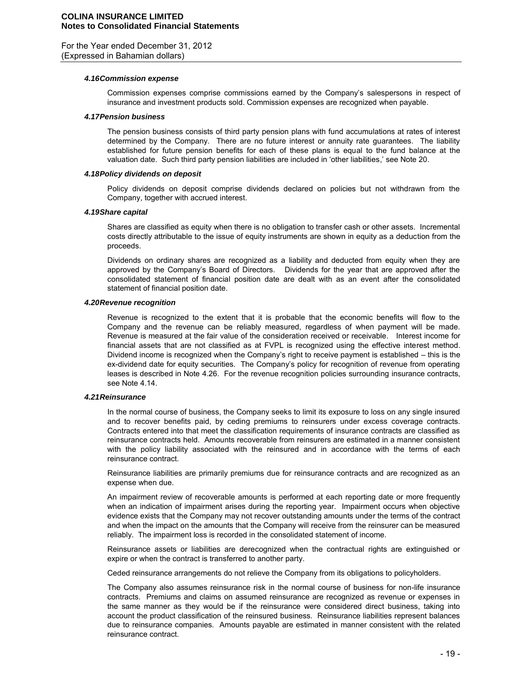### *4.16Commission expense*

Commission expenses comprise commissions earned by the Company's salespersons in respect of insurance and investment products sold. Commission expenses are recognized when payable.

### *4.17Pension business*

The pension business consists of third party pension plans with fund accumulations at rates of interest determined by the Company. There are no future interest or annuity rate guarantees. The liability established for future pension benefits for each of these plans is equal to the fund balance at the valuation date. Such third party pension liabilities are included in 'other liabilities,' see Note 20.

### *4.18Policy dividends on deposit*

Policy dividends on deposit comprise dividends declared on policies but not withdrawn from the Company, together with accrued interest.

### *4.19Share capital*

Shares are classified as equity when there is no obligation to transfer cash or other assets. Incremental costs directly attributable to the issue of equity instruments are shown in equity as a deduction from the proceeds.

Dividends on ordinary shares are recognized as a liability and deducted from equity when they are approved by the Company's Board of Directors. Dividends for the year that are approved after the consolidated statement of financial position date are dealt with as an event after the consolidated statement of financial position date.

### *4.20Revenue recognition*

Revenue is recognized to the extent that it is probable that the economic benefits will flow to the Company and the revenue can be reliably measured, regardless of when payment will be made. Revenue is measured at the fair value of the consideration received or receivable. Interest income for financial assets that are not classified as at FVPL is recognized using the effective interest method. Dividend income is recognized when the Company's right to receive payment is established – this is the ex-dividend date for equity securities. The Company's policy for recognition of revenue from operating leases is described in Note 4.26. For the revenue recognition policies surrounding insurance contracts, see Note 4.14.

## *4.21Reinsurance*

In the normal course of business, the Company seeks to limit its exposure to loss on any single insured and to recover benefits paid, by ceding premiums to reinsurers under excess coverage contracts. Contracts entered into that meet the classification requirements of insurance contracts are classified as reinsurance contracts held. Amounts recoverable from reinsurers are estimated in a manner consistent with the policy liability associated with the reinsured and in accordance with the terms of each reinsurance contract.

Reinsurance liabilities are primarily premiums due for reinsurance contracts and are recognized as an expense when due.

An impairment review of recoverable amounts is performed at each reporting date or more frequently when an indication of impairment arises during the reporting year. Impairment occurs when objective evidence exists that the Company may not recover outstanding amounts under the terms of the contract and when the impact on the amounts that the Company will receive from the reinsurer can be measured reliably. The impairment loss is recorded in the consolidated statement of income.

Reinsurance assets or liabilities are derecognized when the contractual rights are extinguished or expire or when the contract is transferred to another party.

Ceded reinsurance arrangements do not relieve the Company from its obligations to policyholders.

The Company also assumes reinsurance risk in the normal course of business for non-life insurance contracts. Premiums and claims on assumed reinsurance are recognized as revenue or expenses in the same manner as they would be if the reinsurance were considered direct business, taking into account the product classification of the reinsured business. Reinsurance liabilities represent balances due to reinsurance companies. Amounts payable are estimated in manner consistent with the related reinsurance contract.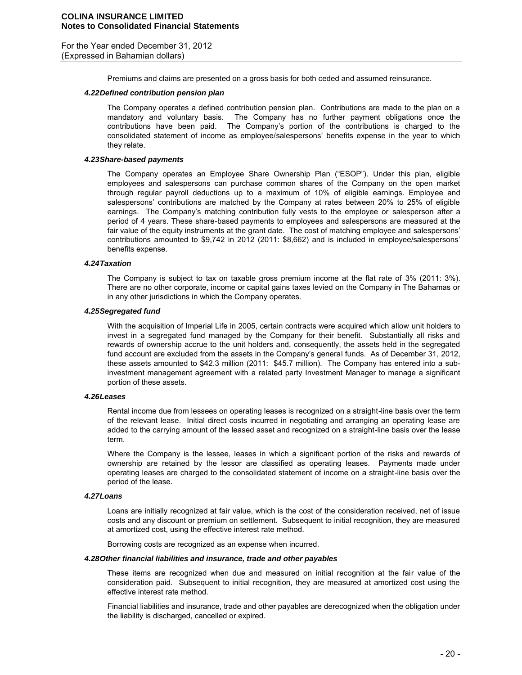Premiums and claims are presented on a gross basis for both ceded and assumed reinsurance.

### *4.22Defined contribution pension plan*

The Company operates a defined contribution pension plan. Contributions are made to the plan on a mandatory and voluntary basis. The Company has no further payment obligations once the contributions have been paid. The Company's portion of the contributions is charged to the consolidated statement of income as employee/salespersons' benefits expense in the year to which they relate.

### *4.23Share-based payments*

The Company operates an Employee Share Ownership Plan ("ESOP"). Under this plan, eligible employees and salespersons can purchase common shares of the Company on the open market through regular payroll deductions up to a maximum of 10% of eligible earnings. Employee and salespersons' contributions are matched by the Company at rates between 20% to 25% of eligible earnings. The Company's matching contribution fully vests to the employee or salesperson after a period of 4 years. These share-based payments to employees and salespersons are measured at the fair value of the equity instruments at the grant date. The cost of matching employee and salespersons' contributions amounted to \$9,742 in 2012 (2011: \$8,662) and is included in employee/salespersons' benefits expense.

### *4.24Taxation*

The Company is subject to tax on taxable gross premium income at the flat rate of 3% (2011: 3%). There are no other corporate, income or capital gains taxes levied on the Company in The Bahamas or in any other jurisdictions in which the Company operates.

### *4.25Segregated fund*

With the acquisition of Imperial Life in 2005, certain contracts were acquired which allow unit holders to invest in a segregated fund managed by the Company for their benefit. Substantially all risks and rewards of ownership accrue to the unit holders and, consequently, the assets held in the segregated fund account are excluded from the assets in the Company's general funds. As of December 31, 2012, these assets amounted to \$42.3 million (2011: \$45.7 million). The Company has entered into a subinvestment management agreement with a related party Investment Manager to manage a significant portion of these assets.

#### *4.26Leases*

Rental income due from lessees on operating leases is recognized on a straight-line basis over the term of the relevant lease. Initial direct costs incurred in negotiating and arranging an operating lease are added to the carrying amount of the leased asset and recognized on a straight-line basis over the lease term.

Where the Company is the lessee, leases in which a significant portion of the risks and rewards of ownership are retained by the lessor are classified as operating leases. Payments made under operating leases are charged to the consolidated statement of income on a straight-line basis over the period of the lease.

#### *4.27Loans*

Loans are initially recognized at fair value, which is the cost of the consideration received, net of issue costs and any discount or premium on settlement. Subsequent to initial recognition, they are measured at amortized cost, using the effective interest rate method.

Borrowing costs are recognized as an expense when incurred.

#### *4.28Other financial liabilities and insurance, trade and other payables*

These items are recognized when due and measured on initial recognition at the fair value of the consideration paid. Subsequent to initial recognition, they are measured at amortized cost using the effective interest rate method.

Financial liabilities and insurance, trade and other payables are derecognized when the obligation under the liability is discharged, cancelled or expired.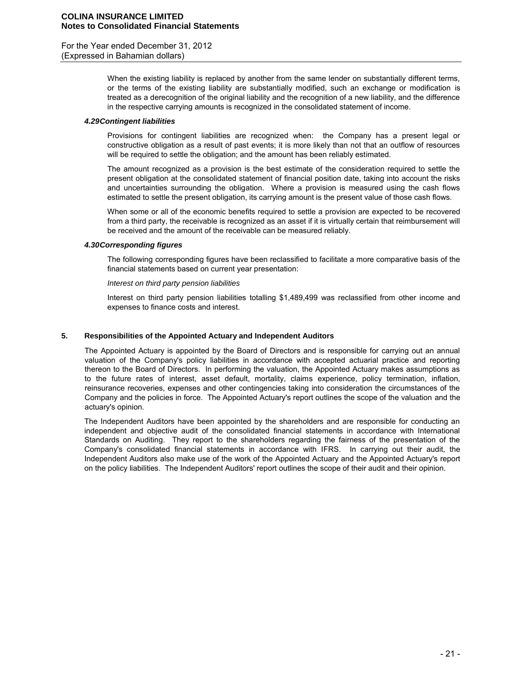> When the existing liability is replaced by another from the same lender on substantially different terms, or the terms of the existing liability are substantially modified, such an exchange or modification is treated as a derecognition of the original liability and the recognition of a new liability, and the difference in the respective carrying amounts is recognized in the consolidated statement of income.

### *4.29Contingent liabilities*

Provisions for contingent liabilities are recognized when: the Company has a present legal or constructive obligation as a result of past events; it is more likely than not that an outflow of resources will be required to settle the obligation; and the amount has been reliably estimated.

The amount recognized as a provision is the best estimate of the consideration required to settle the present obligation at the consolidated statement of financial position date, taking into account the risks and uncertainties surrounding the obligation. Where a provision is measured using the cash flows estimated to settle the present obligation, its carrying amount is the present value of those cash flows.

When some or all of the economic benefits required to settle a provision are expected to be recovered from a third party, the receivable is recognized as an asset if it is virtually certain that reimbursement will be received and the amount of the receivable can be measured reliably.

## *4.30Corresponding figures*

The following corresponding figures have been reclassified to facilitate a more comparative basis of the financial statements based on current year presentation:

*Interest on third party pension liabilities*

Interest on third party pension liabilities totalling \$1,489,499 was reclassified from other income and expenses to finance costs and interest.

## **5. Responsibilities of the Appointed Actuary and Independent Auditors**

The Appointed Actuary is appointed by the Board of Directors and is responsible for carrying out an annual valuation of the Company's policy liabilities in accordance with accepted actuarial practice and reporting thereon to the Board of Directors. In performing the valuation, the Appointed Actuary makes assumptions as to the future rates of interest, asset default, mortality, claims experience, policy termination, inflation, reinsurance recoveries, expenses and other contingencies taking into consideration the circumstances of the Company and the policies in force. The Appointed Actuary's report outlines the scope of the valuation and the actuary's opinion.

The Independent Auditors have been appointed by the shareholders and are responsible for conducting an independent and objective audit of the consolidated financial statements in accordance with International Standards on Auditing. They report to the shareholders regarding the fairness of the presentation of the Company's consolidated financial statements in accordance with IFRS. In carrying out their audit, the Independent Auditors also make use of the work of the Appointed Actuary and the Appointed Actuary's report on the policy liabilities. The Independent Auditors' report outlines the scope of their audit and their opinion.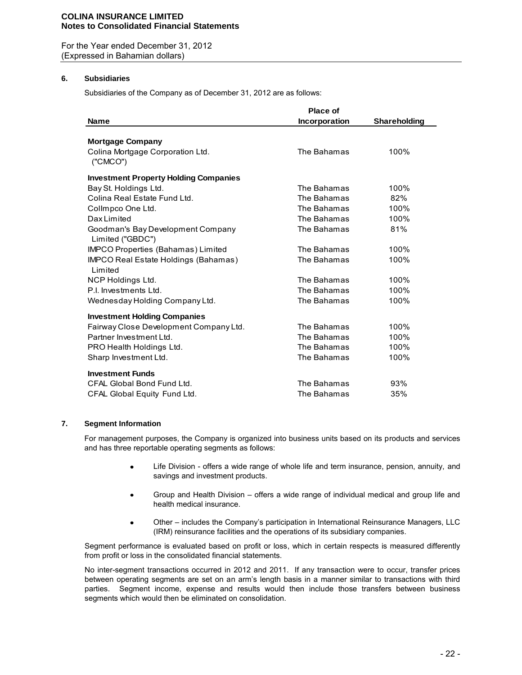For the Year ended December 31, 2012 (Expressed in Bahamian dollars)

# **6. Subsidiaries**

Subsidiaries of the Company as of December 31, 2012 are as follows:

| <b>Name</b>                                           | Incorporation | Shareholding |
|-------------------------------------------------------|---------------|--------------|
| <b>Mortgage Company</b>                               |               |              |
| Colina Mortgage Corporation Ltd.<br>('CMCO")          | The Bahamas   | 100%         |
| <b>Investment Property Holding Companies</b>          |               |              |
| Bay St. Holdings Ltd.                                 | The Bahamas   | 100%         |
| Colina Real Estate Fund Ltd.                          | The Bahamas   | 82%          |
| Collmpco One Ltd.                                     | The Bahamas   | 100%         |
| <b>DaxLimited</b>                                     | The Bahamas   | 100%         |
| Goodman's Bay Development Company<br>Limited ("GBDC") | The Bahamas   | 81%          |
| IMPCO Properties (Bahamas) Limited                    | The Bahamas   | 100%         |
| IMPCO Real Estate Holdings (Bahamas)<br>Limited       | The Bahamas   | 100%         |
| <b>NCP Holdings Ltd.</b>                              | The Bahamas   | 100%         |
| P.I. Investments I td.                                | The Bahamas   | 100%         |
| Wednesday Holding Company Ltd.                        | The Bahamas   | 100%         |
| <b>Investment Holding Companies</b>                   |               |              |
| Fairway Close Development Company Ltd.                | The Bahamas   | 100%         |
| Partner Investment I td.                              | The Bahamas   | 100%         |
| PRO Health Holdings Ltd.                              | The Bahamas   | 100%         |
| Sharp Investment Ltd.                                 | The Bahamas   | 100%         |
| <b>Investment Funds</b>                               |               |              |
| CFAL Global Bond Fund Ltd.                            | The Bahamas   | 93%          |
| CFAL Global Equity Fund Ltd.                          | The Bahamas   | 35%          |

## **7. Segment Information**

For management purposes, the Company is organized into business units based on its products and services and has three reportable operating segments as follows:

- Life Division offers a wide range of whole life and term insurance, pension, annuity, and  $\bullet$ savings and investment products.
- Group and Health Division offers a wide range of individual medical and group life and  $\bullet$ health medical insurance.
- Other includes the Company's participation in International Reinsurance Managers, LLC  $\bullet$ (IRM) reinsurance facilities and the operations of its subsidiary companies.

Segment performance is evaluated based on profit or loss, which in certain respects is measured differently from profit or loss in the consolidated financial statements.

No inter-segment transactions occurred in 2012 and 2011. If any transaction were to occur, transfer prices between operating segments are set on an arm's length basis in a manner similar to transactions with third parties. Segment income, expense and results would then include those transfers between business segments which would then be eliminated on consolidation.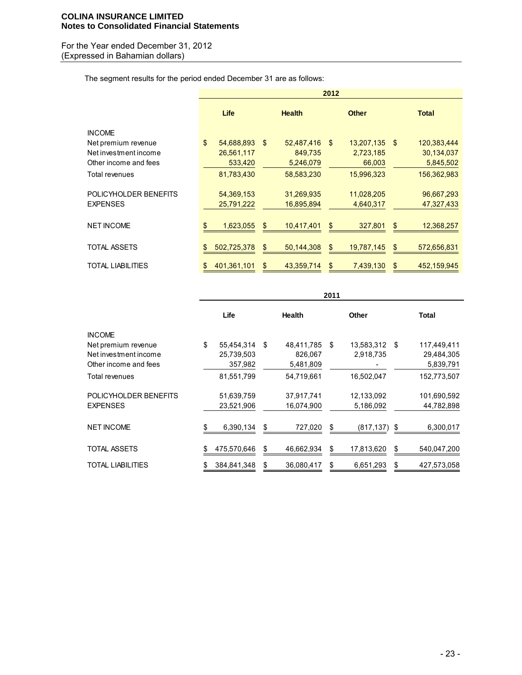For the Year ended December 31, 2012 (Expressed in Bahamian dollars)

The segment results for the period ended December 31 are as follows:

|                          | 2012                         |                  |                  |                   |  |  |  |  |  |
|--------------------------|------------------------------|------------------|------------------|-------------------|--|--|--|--|--|
|                          | Life                         | <b>Health</b>    | <b>Other</b>     | <b>Total</b>      |  |  |  |  |  |
| <b>INCOME</b>            |                              |                  |                  |                   |  |  |  |  |  |
| Net premium revenue      | $\mathfrak{S}$<br>54,688,893 | \$<br>52,487,416 | 13,207,135<br>\$ | \$<br>120,383,444 |  |  |  |  |  |
| Net investment income    | 26,561,117                   | 849,735          | 2,723,185        | 30,134,037        |  |  |  |  |  |
| Other income and fees    | 533,420                      | 5,246,079        | 66,003           | 5,845,502         |  |  |  |  |  |
| Total revenues           | 81,783,430                   | 58,583,230       | 15,996,323       | 156,362,983       |  |  |  |  |  |
| POLICYHOLDER BENEFITS    | 54,369,153                   | 31,269,935       | 11,028,205       | 96,667,293        |  |  |  |  |  |
| <b>EXPENSES</b>          | 25,791,222                   | 16,895,894       | 4,640,317        | 47,327,433        |  |  |  |  |  |
| <b>NET INCOME</b>        | 1,623,055<br>\$.             | 10,417,401<br>\$ | 327,801<br>\$    | \$<br>12,368,257  |  |  |  |  |  |
| TOTAL ASSETS             | 502,725,378                  | \$<br>50,144,308 | \$<br>19,787,145 | \$<br>572,656,831 |  |  |  |  |  |
| <b>TOTAL LIABILITIES</b> | 401,361,101                  | \$<br>43,359,714 | \$<br>7,439,130  | \$<br>452,159,945 |  |  |  |  |  |

|                          | 2011             |    |               |    |            |    |             |
|--------------------------|------------------|----|---------------|----|------------|----|-------------|
|                          | Life             |    | <b>Health</b> |    | Other      |    | Total       |
| <b>INCOME</b>            |                  |    |               |    |            |    |             |
| Net premium revenue      | \$<br>55,454,314 | \$ | 48,411,785    | \$ | 13,583,312 | -S | 117,449,411 |
| Net investment income    | 25,739,503       |    | 826,067       |    | 2,918,735  |    | 29,484,305  |
| Other income and fees    | 357,982          |    | 5,481,809     |    |            |    | 5,839,791   |
| Total revenues           | 81,551,799       |    | 54,719,661    |    | 16,502,047 |    | 152,773,507 |
| POLICYHOLDER BENEFITS    | 51,639,759       |    | 37,917,741    |    | 12,133,092 |    | 101,690,592 |
| <b>EXPENSES</b>          | 23,521,906       |    | 16,074,900    |    | 5,186,092  |    | 44,782,898  |
| <b>NET INCOME</b>        | 6,390,134        | \$ | 727,020       | \$ | (817, 137) | \$ | 6,300,017   |
| TOTAL ASSETS             | 475,570,646      | S  | 46,662,934    | S  | 17,813,620 | \$ | 540,047,200 |
| <b>TOTAL LIABILITIES</b> | 384,841,348      | \$ | 36,080,417    | \$ | 6,651,293  | \$ | 427,573,058 |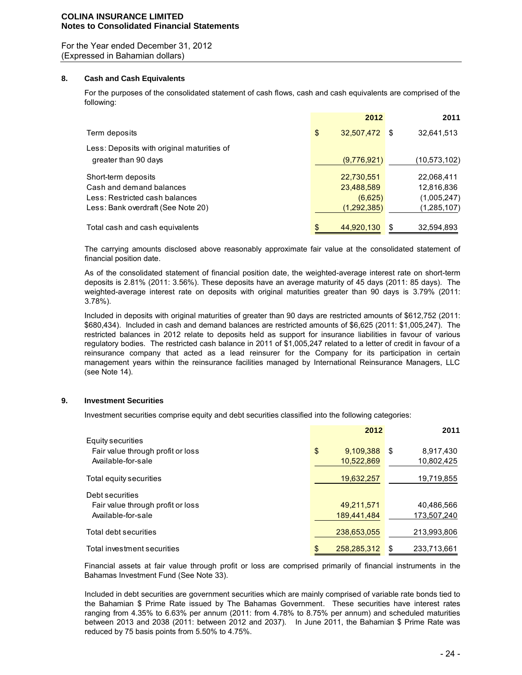For the Year ended December 31, 2012 (Expressed in Bahamian dollars)

## **8. Cash and Cash Equivalents**

For the purposes of the consolidated statement of cash flows, cash and cash equivalents are comprised of the following:

|                                            | 2012             |     | 2011         |
|--------------------------------------------|------------------|-----|--------------|
| Term deposits                              | \$<br>32.507.472 | ∣\$ | 32,641,513   |
| Less: Deposits with original maturities of |                  |     |              |
| greater than 90 days                       | (9,776,921)      |     | (10,573,102) |
| Short-term deposits                        | 22,730,551       |     | 22,068,411   |
| Cash and demand balances                   | 23,488,589       |     | 12,816,836   |
| Less: Restricted cash balances             | (6,625)          |     | (1,005,247)  |
| Less: Bank overdraft (See Note 20)         | (1,292,385)      |     | (1,285,107)  |
| Total cash and cash equivalents            | \$<br>44,920,130 |     | 32,594,893   |

The carrying amounts disclosed above reasonably approximate fair value at the consolidated statement of financial position date.

As of the consolidated statement of financial position date, the weighted-average interest rate on short-term deposits is 2.81% (2011: 3.56%). These deposits have an average maturity of 45 days (2011: 85 days). The weighted-average interest rate on deposits with original maturities greater than 90 days is 3.79% (2011: 3.78%).

Included in deposits with original maturities of greater than 90 days are restricted amounts of \$612,752 (2011: \$680,434). Included in cash and demand balances are restricted amounts of \$6,625 (2011: \$1,005,247). The restricted balances in 2012 relate to deposits held as support for insurance liabilities in favour of various regulatory bodies. The restricted cash balance in 2011 of \$1,005,247 related to a letter of credit in favour of a reinsurance company that acted as a lead reinsurer for the Company for its participation in certain management years within the reinsurance facilities managed by International Reinsurance Managers, LLC (see Note 14).

## **9. Investment Securities**

Investment securities comprise equity and debt securities classified into the following categories:

|                                   | 2012              | 2011            |
|-----------------------------------|-------------------|-----------------|
| Equity securities                 |                   |                 |
| Fair value through profit or loss | \$<br>9.109.388   | 8,917,430<br>\$ |
| Available-for-sale                | 10,522,869        | 10,802,425      |
| Total equity securities           | 19,632,257        | 19,719,855      |
| Debt securities                   |                   |                 |
| Fair value through profit or loss | 49.211.571        | 40.486.566      |
| Available-for-sale                | 189,441,484       | 173.507.240     |
| Total debt securities             | 238,653,055       | 213.993.806     |
| Total investment securities       | \$<br>258,285,312 | 233,713,661     |

Financial assets at fair value through profit or loss are comprised primarily of financial instruments in the Bahamas Investment Fund (See Note 33).

Included in debt securities are government securities which are mainly comprised of variable rate bonds tied to the Bahamian \$ Prime Rate issued by The Bahamas Government. These securities have interest rates ranging from 4.35% to 6.63% per annum (2011: from 4.78% to 8.75% per annum) and scheduled maturities between 2013 and 2038 (2011: between 2012 and 2037). In June 2011, the Bahamian \$ Prime Rate was reduced by 75 basis points from 5.50% to 4.75%.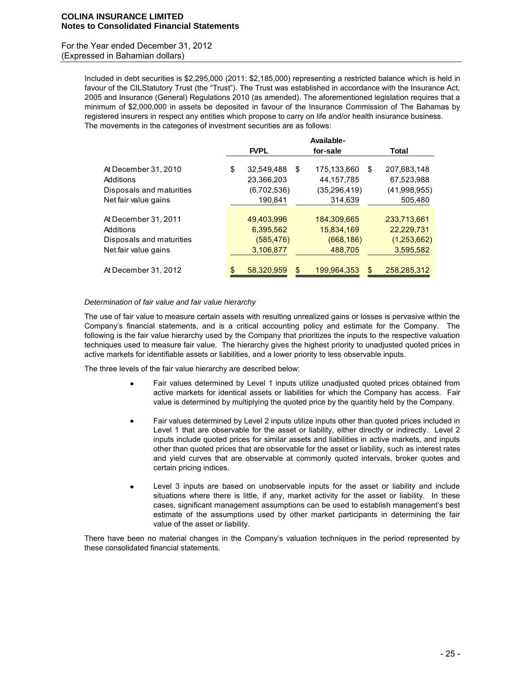For the Year ended December 31, 2012 (Expressed in Bahamian dollars)

> Included in debt securities is \$2,295,000 (2011: \$2,185,000) representing a restricted balance which is held in favour of the CILStatutory Trust (the "Trust"). The Trust was established in accordance with the Insurance Act, 2005 and Insurance (General) Regulations 2010 (as amended). The aforementioned legislation requires that a minimum of \$2,000,000 in assets be deposited in favour of the Insurance Commission of The Bahamas by registered insurers in respect any entities which propose to carry on life and/or health insurance business. The movements in the categories of investment securities are as follows:

|                                                                                       |                                                          | Available-                                                   |     |                                                       |
|---------------------------------------------------------------------------------------|----------------------------------------------------------|--------------------------------------------------------------|-----|-------------------------------------------------------|
|                                                                                       | <b>FVPL</b>                                              | for-sale                                                     |     | Total                                                 |
| At December 31, 2010<br>Additions<br>Disposals and maturities<br>Net fair value gains | \$<br>32.549.488<br>23,366,203<br>(6,702,536)<br>190.841 | \$<br>175,133,660<br>44.157.785<br>(35, 296, 419)<br>314,639 | S   | 207.683.148<br>67,523,988<br>(41,998,955)<br>505,480  |
| At December 31, 2011<br>Additions<br>Disposals and maturities<br>Net fair value gains | 49.403.996<br>6,395,562<br>(585, 476)<br>3,106,877       | 184.309.665<br>15,834,169<br>(668, 186)<br>488,705           |     | 233.713.661<br>22,229,731<br>(1,253,662)<br>3,595,582 |
| At December 31, 2012                                                                  | 58,320,959                                               | \$<br>199,964,353                                            | \$. | 258,285,312                                           |

## *Determination of fair value and fair value hierarchy*

The use of fair value to measure certain assets with resulting unrealized gains or losses is pervasive within the Company's financial statements, and is a critical accounting policy and estimate for the Company. The following is the fair value hierarchy used by the Company that prioritizes the inputs to the respective valuation techniques used to measure fair value. The hierarchy gives the highest priority to unadjusted quoted prices in active markets for identifiable assets or liabilities, and a lower priority to less observable inputs.

The three levels of the fair value hierarchy are described below:

- Fair values determined by Level 1 inputs utilize unadjusted quoted prices obtained from active markets for identical assets or liabilities for which the Company has access. Fair value is determined by multiplying the quoted price by the quantity held by the Company.
- Fair values determined by Level 2 inputs utilize inputs other than quoted prices included in Level 1 that are observable for the asset or liability, either directly or indirectly. Level 2 inputs include quoted prices for similar assets and liabilities in active markets, and inputs other than quoted prices that are observable for the asset or liability, such as interest rates and yield curves that are observable at commonly quoted intervals, broker quotes and certain pricing indices.
- Level 3 inputs are based on unobservable inputs for the asset or liability and include situations where there is little, if any, market activity for the asset or liability. In these cases, significant management assumptions can be used to establish management's best estimate of the assumptions used by other market participants in determining the fair value of the asset or liability.

There have been no material changes in the Company's valuation techniques in the period represented by these consolidated financial statements.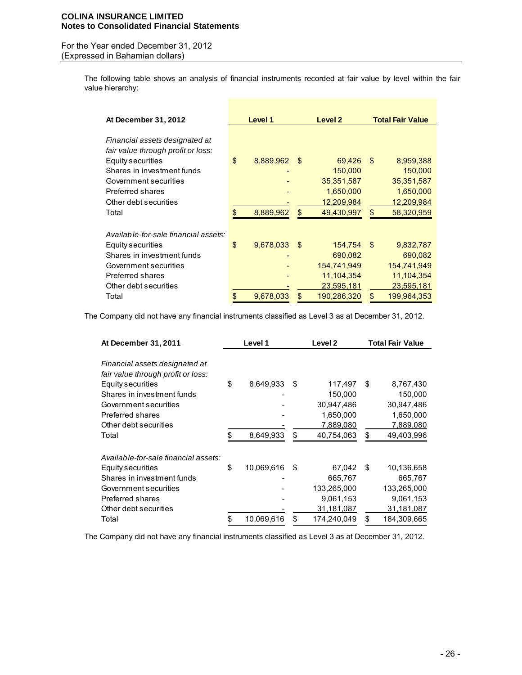For the Year ended December 31, 2012 (Expressed in Bahamian dollars)

> The following table shows an analysis of financial instruments recorded at fair value by level within the fair value hierarchy:

| At December 31, 2012                                                 | Level 1         | Level 2 |              |    | <b>Total Fair Value</b> |  |  |
|----------------------------------------------------------------------|-----------------|---------|--------------|----|-------------------------|--|--|
| Financial assets designated at<br>fair value through profit or loss: |                 |         |              |    |                         |  |  |
| Equity securities                                                    | \$<br>8,889,962 | \$      | 69,426       | \$ | 8,959,388               |  |  |
| Shares in investment funds                                           |                 |         | 150,000      |    | 150,000                 |  |  |
| Government securities                                                |                 |         | 35, 351, 587 |    | 35,351,587              |  |  |
| Preferred shares                                                     |                 |         | 1,650,000    |    | 1,650,000               |  |  |
| Other debt securities                                                |                 |         | 12,209,984   |    | 12,209,984              |  |  |
| Total                                                                | \$<br>8,889,962 | \$      | 49,430,997   | \$ | 58,320,959              |  |  |
|                                                                      |                 |         |              |    |                         |  |  |
| Available-for-sale financial assets:                                 |                 |         |              |    |                         |  |  |
| Equity securities                                                    | \$<br>9,678,033 | - \$    | 154,754      | \$ | 9,832,787               |  |  |
| Shares in investment funds                                           |                 |         | 690,082      |    | 690,082                 |  |  |
| Government securities                                                |                 |         | 154,741,949  |    | 154,741,949             |  |  |
| Preferred shares                                                     |                 |         | 11,104,354   |    | 11,104,354              |  |  |
| Other debt securities                                                |                 |         | 23,595,181   |    | 23,595,181              |  |  |
| Total                                                                | \$<br>9,678,033 | \$      | 190,286,320  | \$ | 199,964,353             |  |  |

The Company did not have any financial instruments classified as Level 3 as at December 31, 2012.

| At December 31, 2011                                                 | Level 1          | Level 2           | <b>Total Fair Value</b> |             |
|----------------------------------------------------------------------|------------------|-------------------|-------------------------|-------------|
| Financial assets designated at<br>fair value through profit or loss: |                  |                   |                         |             |
| Equity securities                                                    | \$<br>8,649,933  | \$<br>117,497     | \$                      | 8,767,430   |
| Shares in investment funds                                           |                  | 150,000           |                         | 150,000     |
| Government securities                                                |                  | 30,947,486        |                         | 30,947,486  |
| Preferred shares                                                     |                  | 1,650,000         |                         | 1,650,000   |
| Other debt securities                                                |                  | 7,889,080         |                         | 7,889,080   |
| Total                                                                | \$<br>8,649,933  | \$<br>40,754,063  | \$                      | 49,403,996  |
|                                                                      |                  |                   |                         |             |
| Available-for-sale financial assets:                                 |                  |                   |                         |             |
| Equity securities                                                    | \$<br>10,069,616 | \$<br>67,042      | \$                      | 10,136,658  |
| Shares in investment funds                                           |                  | 665,767           |                         | 665,767     |
| Government securities                                                |                  | 133,265,000       |                         | 133,265,000 |
| Preferred shares                                                     |                  | 9,061,153         |                         | 9,061,153   |
| Other debt securities                                                |                  | 31,181,087        |                         | 31,181,087  |
| Total                                                                | \$<br>10,069,616 | \$<br>174,240,049 | \$                      | 184,309,665 |

The Company did not have any financial instruments classified as Level 3 as at December 31, 2012.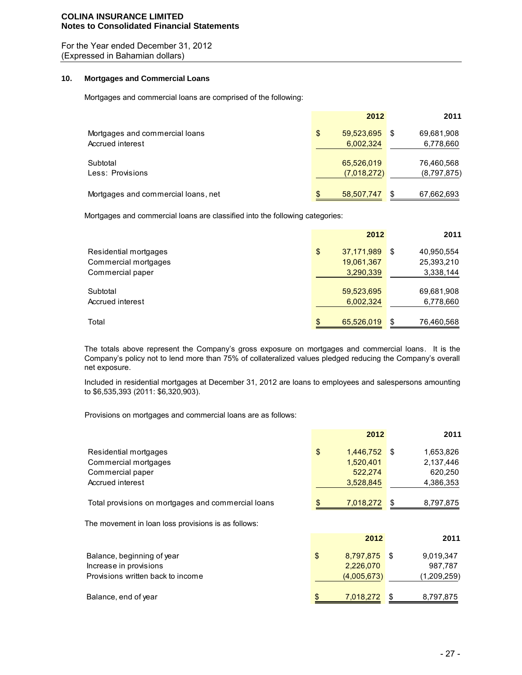For the Year ended December 31, 2012 (Expressed in Bahamian dollars)

## **10. Mortgages and Commercial Loans**

Mortgages and commercial loans are comprised of the following:

|                                     | 2012             | 2011            |
|-------------------------------------|------------------|-----------------|
| Mortgages and commercial loans      | \$<br>59.523.695 | 69,681,908      |
| Accrued interest                    | 6,002,324        | 6,778,660       |
| Subtotal                            | 65,526,019       | 76,460,568      |
| Less: Provisions                    | (7,018,272)      | (8,797,875)     |
| Mortgages and commercial loans, net | \$<br>58,507,747 | 67,662,693<br>S |

Mortgages and commercial loans are classified into the following categories:

|                       | 2012             | 2011            |
|-----------------------|------------------|-----------------|
| Residential mortgages | \$<br>37,171,989 | 40,950,554<br>S |
| Commercial mortgages  | 19,061,367       | 25,393,210      |
| Commercial paper      | 3,290,339        | 3,338,144       |
| Subtotal              | 59,523,695       | 69,681,908      |
| Accrued interest      | 6,002,324        | 6,778,660       |
| Total                 | \$<br>65,526,019 | 76,460,568<br>S |

The totals above represent the Company's gross exposure on mortgages and commercial loans. It is the Company's policy not to lend more than 75% of collateralized values pledged reducing the Company's overall net exposure.

Included in residential mortgages at December 31, 2012 are loans to employees and salespersons amounting to \$6,535,393 (2011: \$6,320,903).

Provisions on mortgages and commercial loans are as follows:

|                                                     | 2012            | 2011              |
|-----------------------------------------------------|-----------------|-------------------|
| Residential mortgages                               | \$<br>1,446,752 | 1,653,826<br>- \$ |
| Commercial mortgages                                | 1,520,401       | 2,137,446         |
| Commercial paper                                    | 522,274         | 620,250           |
| Accrued interest                                    | 3,528,845       | 4,386,353         |
| Total provisions on mortgages and commercial loans  | 7,018,272       | 8,797,875<br>S    |
| The movement in loan loss provisions is as follows: |                 |                   |
|                                                     | 2012            | 2011              |
| Balance, beginning of year                          | \$<br>8,797,875 | 9,019,347<br>-\$  |
| Increase in provisions                              | 2,226,070       | 987,787           |
| Provisions written back to income                   | (4,005,673)     | (1,209,259)       |
| Balance, end of year                                | 7,018,272<br>S  | 8,797,875         |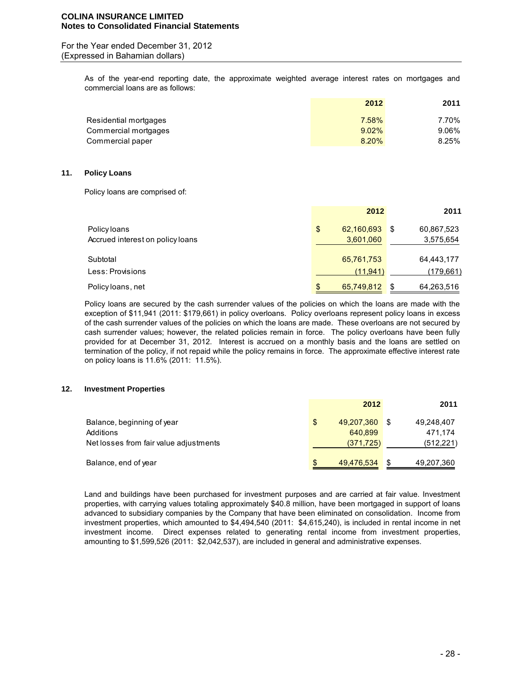For the Year ended December 31, 2012 (Expressed in Bahamian dollars)

> As of the year-end reporting date, the approximate weighted average interest rates on mortgages and commercial loans are as follows:

|                       | 2012     | 2011  |
|-----------------------|----------|-------|
| Residential mortgages | $7.58\%$ | 7.70% |
| Commercial mortgages  | $9.02\%$ | 9.06% |
| Commercial paper      | 8.20%    | 8.25% |

## **11. Policy Loans**

Policy loans are comprised of:

|                                  | 2012             |   | 2011       |
|----------------------------------|------------------|---|------------|
| Policy loans                     | \$<br>62,160,693 | S | 60,867,523 |
| Accrued interest on policy loans | 3,601,060        |   | 3,575,654  |
| Subtotal                         | 65,761,753       |   | 64,443,177 |
| Less: Provisions                 | (11, 941)        |   | (179,661)  |
| Policy loans, net                | \$<br>65,749,812 |   | 64,263,516 |

Policy loans are secured by the cash surrender values of the policies on which the loans are made with the exception of \$11,941 (2011: \$179,661) in policy overloans. Policy overloans represent policy loans in excess of the cash surrender values of the policies on which the loans are made. These overloans are not secured by cash surrender values; however, the related policies remain in force. The policy overloans have been fully provided for at December 31, 2012. Interest is accrued on a monthly basis and the loans are settled on termination of the policy, if not repaid while the policy remains in force. The approximate effective interest rate on policy loans is 11.6% (2011: 11.5%).

## **12. Investment Properties**

|                                        |    | 2012       | 2011       |
|----------------------------------------|----|------------|------------|
| Balance, beginning of year             | \$ | 49.207.360 | 49.248.407 |
| Additions                              |    | 640.899    | 471.174    |
| Net losses from fair value adjustments |    | (371, 725) | (512, 221) |
| Balance, end of year                   | S  | 49,476,534 | 49,207,360 |

Land and buildings have been purchased for investment purposes and are carried at fair value. Investment properties, with carrying values totaling approximately \$40.8 million, have been mortgaged in support of loans advanced to subsidiary companies by the Company that have been eliminated on consolidation. Income from investment properties, which amounted to \$4,494,540 (2011: \$4,615,240), is included in rental income in net investment income. Direct expenses related to generating rental income from investment properties, amounting to \$1,599,526 (2011: \$2,042,537), are included in general and administrative expenses.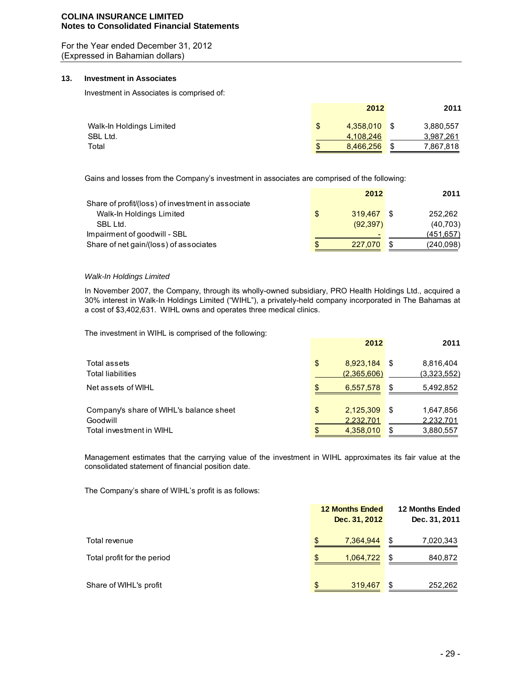For the Year ended December 31, 2012 (Expressed in Bahamian dollars)

## **13. Investment in Associates**

Investment in Associates is comprised of:

|                          |   | 2012      | 2011      |
|--------------------------|---|-----------|-----------|
| Walk-In Holdings Limited | S | 4.358.010 | 3,880,557 |
| SBL Ltd.                 |   | 4.108.246 | 3,987,261 |
| Total                    |   | 8,466,256 | 7,867,818 |

Gains and losses from the Company's investment in associates are comprised of the following:

|                                                   |     | 2012      | 2011       |
|---------------------------------------------------|-----|-----------|------------|
| Share of profit/(loss) of investment in associate |     |           |            |
| Walk-In Holdings Limited                          | \$. | 319.467   | 252.262    |
| SBL Ltd.                                          |     | (92, 397) | (40,703)   |
| Impairment of goodwill - SBL                      |     |           | (451, 657) |
| Share of net gain/(loss) of associates            | S   | 227,070   | (240,098)  |

## *Walk-In Holdings Limited*

In November 2007, the Company, through its wholly-owned subsidiary, PRO Health Holdings Ltd., acquired a 30% interest in Walk-In Holdings Limited ("WIHL"), a privately-held company incorporated in The Bahamas at a cost of \$3,402,631. WIHL owns and operates three medical clinics.

The investment in WIHL is comprised of the following:

| 2012                           | 2011                                     |
|--------------------------------|------------------------------------------|
| 8.923.184<br>\$<br>(2,365,606) | 8,816,404<br>S<br>(3,323,552)            |
| \$<br>6,557,578                | 5,492,852                                |
| 2,125,309<br>\$<br>2,232,701   | 1,647,856<br>S<br>2,232,701<br>3,880,557 |
|                                | 4,358,010<br>\$                          |

Management estimates that the carrying value of the investment in WIHL approximates its fair value at the consolidated statement of financial position date.

The Company's share of WIHL's profit is as follows:

|                             | <b>12 Months Ended</b><br>Dec. 31, 2012 | <b>12 Months Ended</b><br>Dec. 31, 2011 |
|-----------------------------|-----------------------------------------|-----------------------------------------|
| Total revenue               | 7,364,944<br>S                          | 7,020,343<br>- \$                       |
| Total profit for the period | 1,064,722<br>\$.                        | 840,872<br>-S                           |
| Share of WIHL's profit      | 319,467<br>S                            | 252,262<br>S                            |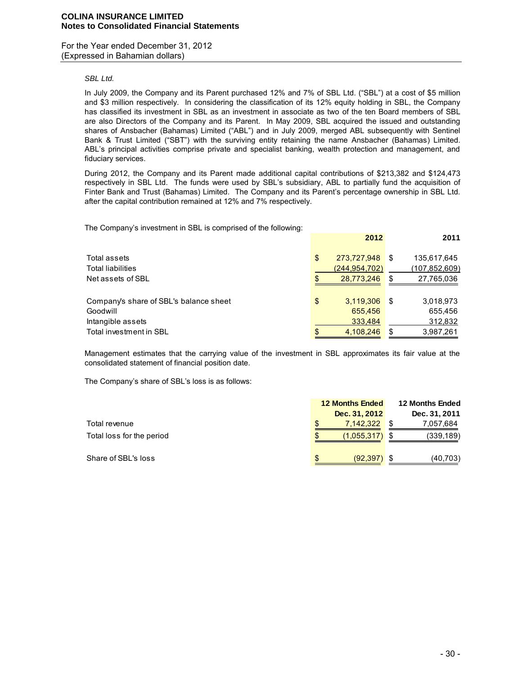## *SBL Ltd.*

In July 2009, the Company and its Parent purchased 12% and 7% of SBL Ltd. ("SBL") at a cost of \$5 million and \$3 million respectively. In considering the classification of its 12% equity holding in SBL, the Company has classified its investment in SBL as an investment in associate as two of the ten Board members of SBL are also Directors of the Company and its Parent. In May 2009, SBL acquired the issued and outstanding shares of Ansbacher (Bahamas) Limited ("ABL") and in July 2009, merged ABL subsequently with Sentinel Bank & Trust Limited ("SBT") with the surviving entity retaining the name Ansbacher (Bahamas) Limited. ABL's principal activities comprise private and specialist banking, wealth protection and management, and fiduciary services.

During 2012, the Company and its Parent made additional capital contributions of \$213,382 and \$124,473 respectively in SBL Ltd. The funds were used by SBL's subsidiary, ABL to partially fund the acquisition of Finter Bank and Trust (Bahamas) Limited. The Company and its Parent's percentage ownership in SBL Ltd. after the capital contribution remained at 12% and 7% respectively.

The Company's investment in SBL is comprised of the following:

|                                                                                                    |           | 2012                                         |      | 2011                                         |
|----------------------------------------------------------------------------------------------------|-----------|----------------------------------------------|------|----------------------------------------------|
| Total assets<br><b>Total liabilities</b><br>Net assets of SBL                                      | \$<br>\$. | 273,727,948<br>(244,954,702)<br>28,773,246   | - \$ | 135,617,645<br>(107, 852, 609)<br>27,765,036 |
| Company's share of SBL's balance sheet<br>Goodwill<br>Intangible assets<br>Total investment in SBL | \$<br>\$  | 3.119.306<br>655,456<br>333.484<br>4,108,246 | -S   | 3,018,973<br>655,456<br>312,832<br>3,987,261 |

Management estimates that the carrying value of the investment in SBL approximates its fair value at the consolidated statement of financial position date.

The Company's share of SBL's loss is as follows:

|                           | <b>12 Months Ended</b> | <b>12 Months Ended</b> |
|---------------------------|------------------------|------------------------|
|                           | Dec. 31, 2012          | Dec. 31, 2011          |
| Total revenue             | 7,142,322              | 7,057,684              |
| Total loss for the period | $(1,055,317)$ \$       | (339, 189)             |
| Share of SBL's loss       | $(92, 397)$ \$         | (40, 703)              |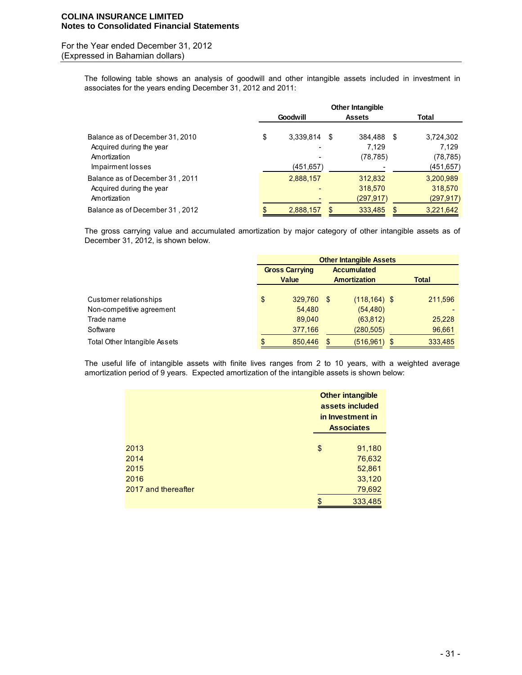For the Year ended December 31, 2012 (Expressed in Bahamian dollars)

> The following table shows an analysis of goodwill and other intangible assets included in investment in associates for the years ending December 31, 2012 and 2011:

|                                 | <b>Other Intangible</b> |           |      |               |      |            |
|---------------------------------|-------------------------|-----------|------|---------------|------|------------|
|                                 |                         | Goodwill  |      | <b>Assets</b> |      | Total      |
| Balance as of December 31, 2010 | \$                      | 3,339,814 | - \$ | 384.488       | - \$ | 3,724,302  |
| Acquired during the year        |                         |           |      | 7.129         |      | 7.129      |
| Amortization                    |                         |           |      | (78, 785)     |      | (78, 785)  |
| Impairment losses               |                         | (451,657) |      |               |      | (451,657)  |
| Balance as of December 31, 2011 |                         | 2,888,157 |      | 312.832       |      | 3,200,989  |
| Acquired during the year        |                         |           |      | 318,570       |      | 318,570    |
| Amortization                    |                         |           |      | (297, 917)    |      | (297, 917) |
| Balance as of December 31, 2012 |                         | 2,888,157 |      | 333.485       |      | 3,221,642  |

The gross carrying value and accumulated amortization by major category of other intangible assets as of December 31, 2012, is shown below.

|                               | <b>Other Intangible Assets</b>              |         |     |                     |    |         |
|-------------------------------|---------------------------------------------|---------|-----|---------------------|----|---------|
|                               | <b>Accumulated</b><br><b>Gross Carrying</b> |         |     |                     |    |         |
|                               |                                             | Value   |     | <b>Amortization</b> |    | Total   |
|                               |                                             |         |     |                     |    |         |
| Customer relationships        | \$                                          | 329,760 | -S  | $(118, 164)$ \$     |    | 211,596 |
| Non-competitive agreement     |                                             | 54.480  |     | (54, 480)           |    |         |
| Trade name                    |                                             | 89,040  |     | (63, 812)           |    | 25.228  |
| Software                      |                                             | 377,166 |     | (280, 505)          |    | 96,661  |
| Total Other Intangible Assets |                                             | 850.446 | \$. | (516.961)           | -S | 333,485 |

The useful life of intangible assets with finite lives ranges from 2 to 10 years, with a weighted average amortization period of 9 years. Expected amortization of the intangible assets is shown below:

|                     | <b>Other intangible</b><br>assets included<br>in Investment in<br><b>Associates</b> |  |
|---------------------|-------------------------------------------------------------------------------------|--|
|                     |                                                                                     |  |
| 2013                | \$<br>91,180                                                                        |  |
| 2014                | 76,632                                                                              |  |
| 2015                | 52,861                                                                              |  |
| 2016                | 33,120                                                                              |  |
| 2017 and thereafter | 79,692                                                                              |  |
|                     | \$<br>333,485                                                                       |  |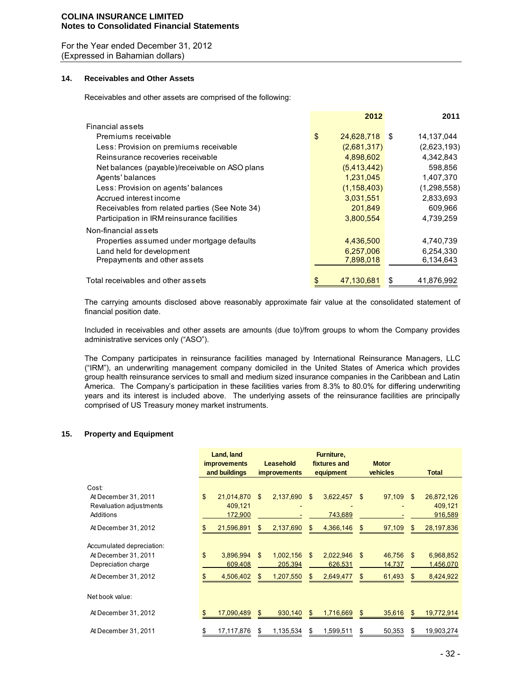For the Year ended December 31, 2012 (Expressed in Bahamian dollars)

## **14. Receivables and Other Assets**

Receivables and other assets are comprised of the following:

|                                                | 2012             | 2011               |
|------------------------------------------------|------------------|--------------------|
| Financial assets                               |                  |                    |
| Premiums receivable                            | \$<br>24,628,718 | 14,137,044<br>- \$ |
| Less: Provision on premiums receivable         | (2,681,317)      | (2,623,193)        |
| Reinsurance recoveries receivable              | 4,898,602        | 4,342,843          |
| Net balances (payable)/receivable on ASO plans | (5,413,442)      | 598,856            |
| Agents' balances                               | 1,231,045        | 1,407,370          |
| Less: Provision on agents' balances            | (1, 158, 403)    | (1, 298, 558)      |
| Accrued interest income                        | 3,031,551        | 2,833,693          |
| Receivables from related parties (See Note 34) | 201,849          | 609,966            |
| Participation in IRM reinsurance facilities    | 3,800,554        | 4,739,259          |
| Non-financial assets                           |                  |                    |
| Properties assumed under mortgage defaults     | 4,436,500        | 4,740,739          |
| Land held for development                      | 6,257,006        | 6,254,330          |
| Prepayments and other assets                   | 7,898,018        | 6,134,643          |
|                                                |                  |                    |
| Total receivables and other assets             | \$<br>47,130,681 | 41,876,992         |

The carrying amounts disclosed above reasonably approximate fair value at the consolidated statement of financial position date.

Included in receivables and other assets are amounts (due to)/from groups to whom the Company provides administrative services only ("ASO").

The Company participates in reinsurance facilities managed by International Reinsurance Managers, LLC ("IRM"), an underwriting management company domiciled in the United States of America which provides group health reinsurance services to small and medium sized insurance companies in the Caribbean and Latin America. The Company's participation in these facilities varies from 8.3% to 80.0% for differing underwriting years and its interest is included above. The underlying assets of the reinsurance facilities are principally comprised of US Treasury money market instruments.

# **15. Property and Equipment**

|                                                                          | Land, land<br><i>improvements</i><br>and buildings | Leasehold<br><i>improvements</i> | <b>Furniture,</b><br>fixtures and<br>equipment | <b>Motor</b><br>vehicles | <b>Total</b>                 |
|--------------------------------------------------------------------------|----------------------------------------------------|----------------------------------|------------------------------------------------|--------------------------|------------------------------|
| Cost:<br>At December 31, 2011                                            | \$<br>21,014,870                                   | $2,137,690$ \$<br>\$             | 3,622,457                                      | 97,109<br>\$             | 26,872,126<br>- \$           |
| Revaluation adjustments<br>Additions                                     | 409,121<br>172,900                                 |                                  | 743,689                                        |                          | 409,121<br>916,589           |
| At December 31, 2012                                                     | 21,596,891<br>S                                    | 2,137,690<br>\$                  | 4,366,146<br>\$.                               | 97,109<br>\$             | 28, 197, 836<br>\$           |
| Accumulated depreciation:<br>At December 31, 2011<br>Depreciation charge | \$<br>3,896,994<br>609,408                         | \$<br>1,002,156<br>205,394       | 2.022.946<br><sup>\$</sup><br>626,531          | 46,756<br>\$<br>14,737   | \$<br>6,968,852<br>1,456,070 |
| At December 31, 2012                                                     | 4,506,402                                          | 1,207,550<br>S                   | 2,649,477                                      | 61,493<br>S.             | 8,424,922<br>S               |
| Net book value:                                                          |                                                    |                                  |                                                |                          |                              |
| At December 31, 2012                                                     | 17,090,489                                         | \$<br>930,140                    | 1,716,669<br>\$                                | 35,616<br>\$             | 19,772,914<br>\$             |
| At December 31, 2011                                                     | 17,117,876<br>S                                    | 1,135,534<br>\$                  | 1,599,511<br>S                                 | 50,353<br>S              | 19,903,274<br>S              |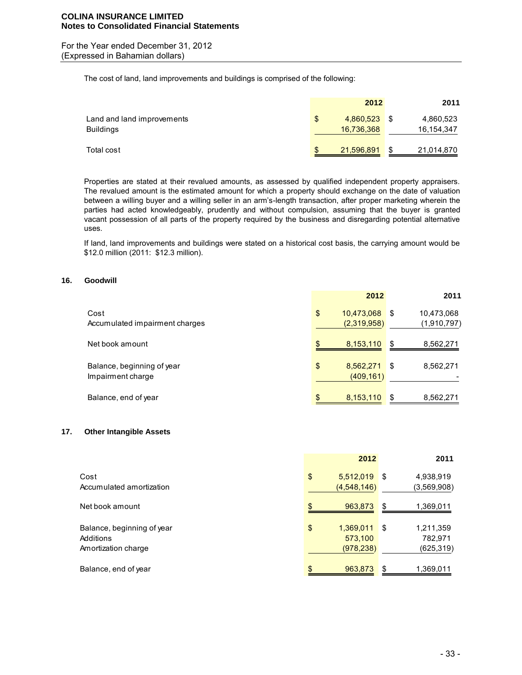For the Year ended December 31, 2012 (Expressed in Bahamian dollars)

The cost of land, land improvements and buildings is comprised of the following:

|                                         |    | 2012                    |    | 2011                    |
|-----------------------------------------|----|-------------------------|----|-------------------------|
| Land and land improvements<br>Buildings | \$ | 4,860,523<br>16,736,368 | -S | 4,860,523<br>16,154,347 |
| Total cost                              | S  | 21,596,891              | \$ | 21,014,870              |

Properties are stated at their revalued amounts, as assessed by qualified independent property appraisers. The revalued amount is the estimated amount for which a property should exchange on the date of valuation between a willing buyer and a willing seller in an arm's-length transaction, after proper marketing wherein the parties had acted knowledgeably, prudently and without compulsion, assuming that the buyer is granted vacant possession of all parts of the property required by the business and disregarding potential alternative uses.

If land, land improvements and buildings were stated on a historical cost basis, the carrying amount would be \$12.0 million (2011: \$12.3 million).

## **16. Goodwill**

|                                                 | 2012                            | 2011                            |
|-------------------------------------------------|---------------------------------|---------------------------------|
| Cost<br>Accumulated impairment charges          | \$<br>10,473,068<br>(2,319,958) | 10,473,068<br>-S<br>(1,910,797) |
| Net book amount                                 | \$<br>8,153,110                 | 8,562,271                       |
| Balance, beginning of year<br>Impairment charge | \$<br>8,562,271<br>(409, 161)   | 8,562,271<br>- \$               |
| Balance, end of year                            | \$<br>8,153,110                 | 8,562,271                       |

## **17. Other Intangible Assets**

|                                                                | 2012                                     |      | 2011                               |
|----------------------------------------------------------------|------------------------------------------|------|------------------------------------|
| Cost<br>Accumulated amortization                               | \$<br>5,512,019<br>(4,548,146)           | - \$ | 4,938,919<br>(3,569,908)           |
| Net book amount                                                | \$<br>963,873                            | S    | 1,369,011                          |
| Balance, beginning of year<br>Additions<br>Amortization charge | \$<br>1,369,011<br>573,100<br>(978, 238) | -\$  | 1,211,359<br>782,971<br>(625, 319) |
| Balance, end of year                                           | \$<br>963,873                            | \$   | 1,369,011                          |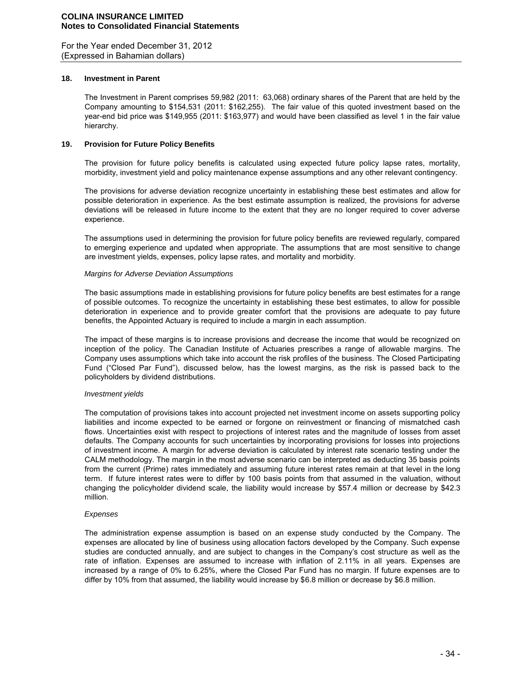## **18. Investment in Parent**

The Investment in Parent comprises 59,982 (2011: 63,068) ordinary shares of the Parent that are held by the Company amounting to \$154,531 (2011: \$162,255). The fair value of this quoted investment based on the year-end bid price was \$149,955 (2011: \$163,977) and would have been classified as level 1 in the fair value hierarchy.

## **19. Provision for Future Policy Benefits**

The provision for future policy benefits is calculated using expected future policy lapse rates, mortality, morbidity, investment yield and policy maintenance expense assumptions and any other relevant contingency.

The provisions for adverse deviation recognize uncertainty in establishing these best estimates and allow for possible deterioration in experience. As the best estimate assumption is realized, the provisions for adverse deviations will be released in future income to the extent that they are no longer required to cover adverse experience.

The assumptions used in determining the provision for future policy benefits are reviewed regularly, compared to emerging experience and updated when appropriate. The assumptions that are most sensitive to change are investment yields, expenses, policy lapse rates, and mortality and morbidity.

## *Margins for Adverse Deviation Assumptions*

The basic assumptions made in establishing provisions for future policy benefits are best estimates for a range of possible outcomes. To recognize the uncertainty in establishing these best estimates, to allow for possible deterioration in experience and to provide greater comfort that the provisions are adequate to pay future benefits, the Appointed Actuary is required to include a margin in each assumption.

The impact of these margins is to increase provisions and decrease the income that would be recognized on inception of the policy. The Canadian Institute of Actuaries prescribes a range of allowable margins. The Company uses assumptions which take into account the risk profiles of the business. The Closed Participating Fund ("Closed Par Fund"), discussed below, has the lowest margins, as the risk is passed back to the policyholders by dividend distributions.

## *Investment yields*

The computation of provisions takes into account projected net investment income on assets supporting policy liabilities and income expected to be earned or forgone on reinvestment or financing of mismatched cash flows. Uncertainties exist with respect to projections of interest rates and the magnitude of losses from asset defaults. The Company accounts for such uncertainties by incorporating provisions for losses into projections of investment income. A margin for adverse deviation is calculated by interest rate scenario testing under the CALM methodology. The margin in the most adverse scenario can be interpreted as deducting 35 basis points from the current (Prime) rates immediately and assuming future interest rates remain at that level in the long term. If future interest rates were to differ by 100 basis points from that assumed in the valuation, without changing the policyholder dividend scale, the liability would increase by \$57.4 million or decrease by \$42.3 million.

## *Expenses*

The administration expense assumption is based on an expense study conducted by the Company. The expenses are allocated by line of business using allocation factors developed by the Company. Such expense studies are conducted annually, and are subject to changes in the Company's cost structure as well as the rate of inflation. Expenses are assumed to increase with inflation of 2.11% in all years. Expenses are increased by a range of 0% to 6.25%, where the Closed Par Fund has no margin. If future expenses are to differ by 10% from that assumed, the liability would increase by \$6.8 million or decrease by \$6.8 million.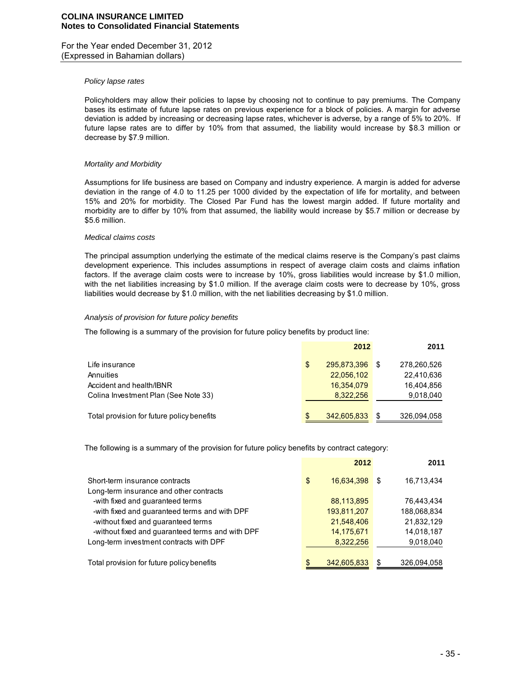For the Year ended December 31, 2012 (Expressed in Bahamian dollars)

## *Policy lapse rates*

Policyholders may allow their policies to lapse by choosing not to continue to pay premiums. The Company bases its estimate of future lapse rates on previous experience for a block of policies. A margin for adverse deviation is added by increasing or decreasing lapse rates, whichever is adverse, by a range of 5% to 20%. If future lapse rates are to differ by 10% from that assumed, the liability would increase by \$8.3 million or decrease by \$7.9 million.

### *Mortality and Morbidity*

Assumptions for life business are based on Company and industry experience. A margin is added for adverse deviation in the range of 4.0 to 11.25 per 1000 divided by the expectation of life for mortality, and between 15% and 20% for morbidity. The Closed Par Fund has the lowest margin added. If future mortality and morbidity are to differ by 10% from that assumed, the liability would increase by \$5.7 million or decrease by \$5.6 million.

### *Medical claims costs*

The principal assumption underlying the estimate of the medical claims reserve is the Company's past claims development experience. This includes assumptions in respect of average claim costs and claims inflation factors. If the average claim costs were to increase by 10%, gross liabilities would increase by \$1.0 million, with the net liabilities increasing by \$1.0 million. If the average claim costs were to decrease by 10%, gross liabilities would decrease by \$1.0 million, with the net liabilities decreasing by \$1.0 million.

### *Analysis of provision for future policy benefits*

The following is a summary of the provision for future policy benefits by product line:

|                                            |     | 2012        | 2011        |
|--------------------------------------------|-----|-------------|-------------|
| Life insurance                             | \$  | 295.873.396 | 278,260,526 |
| Annuities                                  |     | 22,056,102  | 22,410,636  |
| Accident and health/IBNR                   |     | 16,354,079  | 16,404,856  |
| Colina Investment Plan (See Note 33)       |     | 8,322,256   | 9,018,040   |
| Total provision for future policy benefits | \$. | 342,605,833 | 326,094,058 |

The following is a summary of the provision for future policy benefits by contract category:

|                                                  |    | 2012        |   | 2011        |
|--------------------------------------------------|----|-------------|---|-------------|
| Short-term insurance contracts                   | \$ | 16,634,398  | S | 16,713,434  |
| Long-term insurance and other contracts          |    |             |   |             |
| -with fixed and guaranteed terms                 |    | 88,113,895  |   | 76.443.434  |
| -with fixed and guaranteed terms and with DPF    |    | 193,811,207 |   | 188,068,834 |
| -without fixed and guaranteed terms              |    | 21,548,406  |   | 21,832,129  |
| -without fixed and guaranteed terms and with DPF |    | 14,175,671  |   | 14,018,187  |
| Long-term investment contracts with DPF          |    | 8,322,256   |   | 9,018,040   |
|                                                  |    |             |   |             |
| Total provision for future policy benefits       | S  | 342,605,833 |   | 326,094,058 |
|                                                  |    |             |   |             |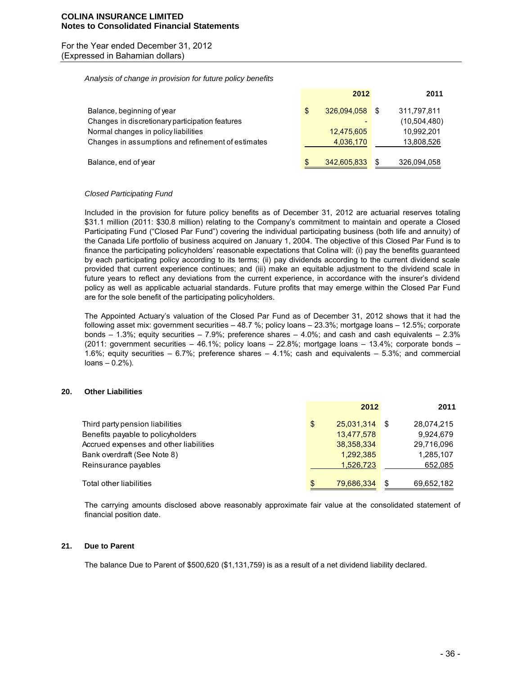For the Year ended December 31, 2012 (Expressed in Bahamian dollars)

*Analysis of change in provision for future policy benefits*

|                                                    |     | 2012        | 2011         |
|----------------------------------------------------|-----|-------------|--------------|
| Balance, beginning of year                         | \$. | 326.094.058 | 311.797.811  |
| Changes in discretionary participation features    |     | -           | (10,504,480) |
| Normal changes in policy liabilities               |     | 12,475,605  | 10,992,201   |
| Changes in assumptions and refinement of estimates |     | 4,036,170   | 13,808,526   |
| Balance, end of year                               | S   | 342,605,833 | 326,094,058  |

## *Closed Participating Fund*

Included in the provision for future policy benefits as of December 31, 2012 are actuarial reserves totaling \$31.1 million (2011: \$30.8 million) relating to the Company's commitment to maintain and operate a Closed Participating Fund ("Closed Par Fund") covering the individual participating business (both life and annuity) of the Canada Life portfolio of business acquired on January 1, 2004. The objective of this Closed Par Fund is to finance the participating policyholders' reasonable expectations that Colina will: (i) pay the benefits guaranteed by each participating policy according to its terms; (ii) pay dividends according to the current dividend scale provided that current experience continues; and (iii) make an equitable adjustment to the dividend scale in future years to reflect any deviations from the current experience, in accordance with the insurer's dividend policy as well as applicable actuarial standards. Future profits that may emerge within the Closed Par Fund are for the sole benefit of the participating policyholders.

The Appointed Actuary's valuation of the Closed Par Fund as of December 31, 2012 shows that it had the following asset mix: government securities – 48.7 %; policy loans – 23.3%; mortgage loans – 12.5%; corporate bonds  $-1.3\%$ ; equity securities  $-7.9\%$ ; preference shares  $-4.0\%$ ; and cash and cash equivalents  $-2.3\%$ (2011: government securities  $-46.1\%$ ; policy loans  $-22.8\%$ ; mortgage loans  $-13.4\%$ ; corporate bonds  $-$ 1.6%; equity securities – 6.7%; preference shares – 4.1%; cash and equivalents – 5.3%; and commercial  $loans - 0.2%$ ).

## **20. Other Liabilities**

|                                        | 2012             | 2011       |
|----------------------------------------|------------------|------------|
| Third party pension liabilities        | \$<br>25.031.314 | 28,074,215 |
| Benefits payable to policyholders      | 13.477.578       | 9.924.679  |
| Accrued expenses and other liabilities | 38.358.334       | 29,716,096 |
| Bank overdraft (See Note 8)            | 1.292.385        | 1,285,107  |
| Reinsurance payables                   | 1.526.723        | 652,085    |
| Total other liabilities                | \$<br>79,686,334 | 69,652,182 |

The carrying amounts disclosed above reasonably approximate fair value at the consolidated statement of financial position date.

## **21. Due to Parent**

The balance Due to Parent of \$500,620 (\$1,131,759) is as a result of a net dividend liability declared.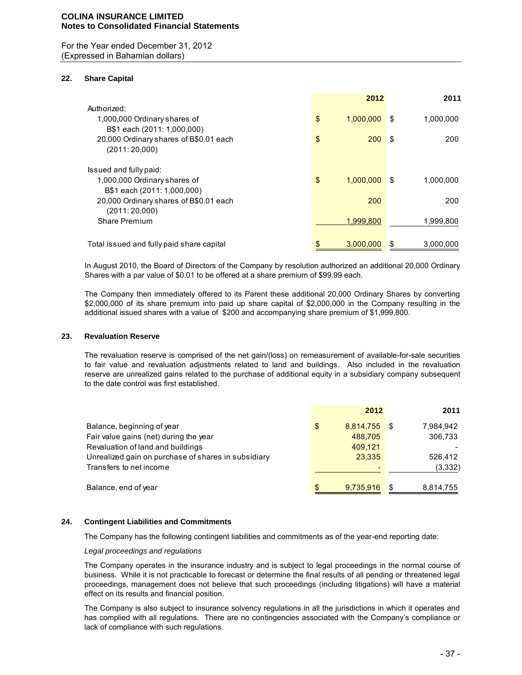For the Year ended December 31, 2012 (Expressed in Bahamian dollars)

## **22. Share Capital**

| 2012            |           | 2011      |
|-----------------|-----------|-----------|
|                 |           |           |
| \$<br>1,000,000 | S         | 1,000,000 |
|                 |           |           |
| \$<br>200       | \$        | 200       |
|                 |           |           |
|                 |           |           |
| \$<br>1,000,000 | -SS       | 1,000,000 |
|                 |           |           |
| 200             |           | 200       |
|                 |           |           |
| 1,999,800       |           | 1,999,800 |
|                 |           | 3,000,000 |
| \$              | 3.000.000 |           |

In August 2010, the Board of Directors of the Company by resolution authorized an additional 20,000 Ordinary Shares with a par value of \$0.01 to be offered at a share premium of \$99.99 each.

The Company then immediately offered to its Parent these additional 20,000 Ordinary Shares by converting \$2,000,000 of its share premium into paid up share capital of \$2,000,000 in the Company resulting in the additional issued shares with a value of \$200 and accompanying share premium of \$1,999,800.

### **23. Revaluation Reserve**

The revaluation reserve is comprised of the net gain/(loss) on remeasurement of available-for-sale securities to fair value and revaluation adjustments related to land and buildings. Also included in the revaluation reserve are unrealized gains related to the purchase of additional equity in a subsidiary company subsequent to the date control was first established.

|                                                     | 2012            |      | 2011      |
|-----------------------------------------------------|-----------------|------|-----------|
| Balance, beginning of year                          | \$<br>8.814.755 | - \$ | 7,984,942 |
| Fair value gains (net) during the year              | 488,705         |      | 306,733   |
| Revaluation of land and buildings                   | 409.121         |      |           |
| Unrealized gain on purchase of shares in subsidiary | 23,335          |      | 526.412   |
| Transfers to net income                             |                 |      | (3, 332)  |
| Balance, end of year                                | \$<br>9,735,916 | S    | 8,814,755 |

## **24. Contingent Liabilities and Commitments**

The Company has the following contingent liabilities and commitments as of the year-end reporting date:

#### *Legal proceedings and regulations*

The Company operates in the insurance industry and is subject to legal proceedings in the normal course of business. While it is not practicable to forecast or determine the final results of all pending or threatened legal proceedings, management does not believe that such proceedings (including litigations) will have a material effect on its results and financial position.

The Company is also subject to insurance solvency regulations in all the jurisdictions in which it operates and has complied with all regulations. There are no contingencies associated with the Company's compliance or lack of compliance with such regulations.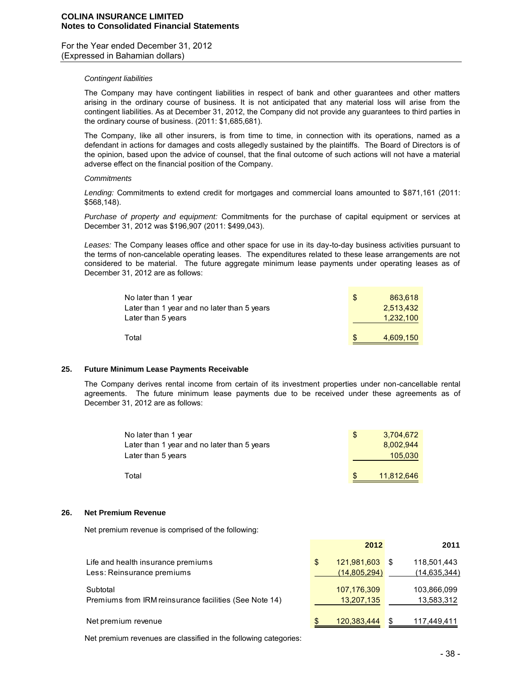### *Contingent liabilities*

The Company may have contingent liabilities in respect of bank and other guarantees and other matters arising in the ordinary course of business. It is not anticipated that any material loss will arise from the contingent liabilities. As at December 31, 2012, the Company did not provide any guarantees to third parties in the ordinary course of business. (2011: \$1,685,681).

The Company, like all other insurers, is from time to time, in connection with its operations, named as a defendant in actions for damages and costs allegedly sustained by the plaintiffs. The Board of Directors is of the opinion, based upon the advice of counsel, that the final outcome of such actions will not have a material adverse effect on the financial position of the Company.

## *Commitments*

*Lending:* Commitments to extend credit for mortgages and commercial loans amounted to \$871,161 (2011: \$568,148).

*Purchase of property and equipment:* Commitments for the purchase of capital equipment or services at December 31, 2012 was \$196,907 (2011: \$499,043).

*Leases:* The Company leases office and other space for use in its day-to-day business activities pursuant to the terms of non-cancelable operating leases. The expenditures related to these lease arrangements are not considered to be material. The future aggregate minimum lease payments under operating leases as of December 31, 2012 are as follows:

| No later than 1 year<br>Later than 1 year and no later than 5 years<br>Later than 5 years | S. | 863.618<br>2.513.432<br>1.232.100 |
|-------------------------------------------------------------------------------------------|----|-----------------------------------|
| Total                                                                                     | \$ | 4,609,150                         |

## **25. Future Minimum Lease Payments Receivable**

The Company derives rental income from certain of its investment properties under non-cancellable rental agreements. The future minimum lease payments due to be received under these agreements as of December 31, 2012 are as follows:

| No later than 1 year                        | \$. | 3.704.672  |
|---------------------------------------------|-----|------------|
| Later than 1 year and no later than 5 years |     | 8.002.944  |
| Later than 5 years                          |     | 105.030    |
|                                             |     |            |
| Total                                       | -S  | 11.812.646 |

## **26. Net Premium Revenue**

Net premium revenue is comprised of the following:

|                                                                    | 2012                              | 2011                          |
|--------------------------------------------------------------------|-----------------------------------|-------------------------------|
| Life and health insurance premiums<br>Less: Reinsurance premiums   | \$<br>121.981.603<br>(14,805,294) | 118,501,443<br>(14, 635, 344) |
| Subtotal<br>Premiums from IRM reinsurance facilities (See Note 14) | 107.176.309<br>13,207,135         | 103,866,099<br>13,583,312     |
| Net premium revenue                                                | \$<br>120,383,444                 | 117,449,411                   |

Net premium revenues are classified in the following categories: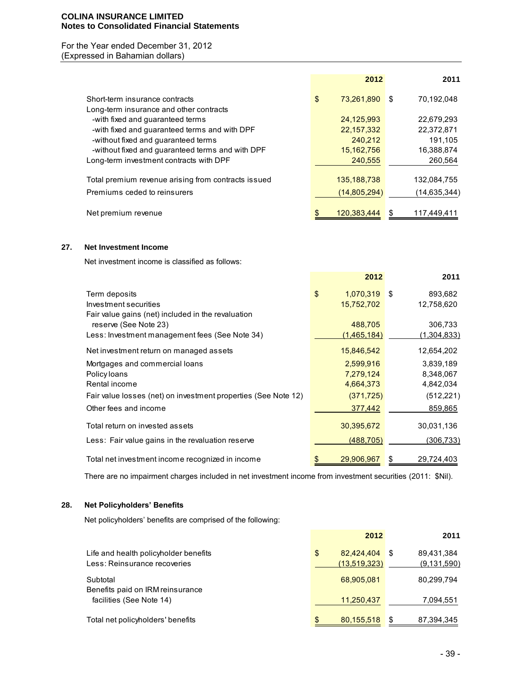For the Year ended December 31, 2012 (Expressed in Bahamian dollars)

|                                                     |                | 2012         |   | 2011         |
|-----------------------------------------------------|----------------|--------------|---|--------------|
| Short-term insurance contracts                      | $\mathfrak{L}$ | 73,261,890   | S | 70,192,048   |
| Long-term insurance and other contracts             |                |              |   |              |
| -with fixed and guaranteed terms                    |                | 24,125,993   |   | 22,679,293   |
| -with fixed and quaranteed terms and with DPF       |                | 22,157,332   |   | 22.372.871   |
| -without fixed and guaranteed terms                 |                | 240,212      |   | 191,105      |
| -without fixed and guaranteed terms and with DPF    |                | 15,162,756   |   | 16,388,874   |
| Long-term investment contracts with DPF             |                | 240.555      |   | 260.564      |
| Total premium revenue arising from contracts issued |                | 135,188,738  |   | 132,084,755  |
| Premiums ceded to reinsurers                        |                | (14,805,294) |   | (14,635,344) |
| Net premium revenue                                 |                | 120,383,444  |   | 117,449,411  |

### **27. Net Investment Income**

Net investment income is classified as follows:

|                                                                | 2012            | 2011          |
|----------------------------------------------------------------|-----------------|---------------|
| Term deposits                                                  | \$<br>1,070,319 | \$<br>893,682 |
| Investment securities                                          | 15,752,702      | 12,758,620    |
| Fair value gains (net) included in the revaluation             |                 |               |
| reserve (See Note 23)                                          | 488,705         | 306,733       |
| Less: Investment management fees (See Note 34)                 | (1,465,184)     | (1,304,833)   |
| Net investment return on managed assets                        | 15,846,542      | 12,654,202    |
| Mortgages and commercial loans                                 | 2,599,916       | 3,839,189     |
| Policy loans                                                   | 7,279,124       | 8,348,067     |
| Rental income                                                  | 4,664,373       | 4,842,034     |
| Fair value losses (net) on investment properties (See Note 12) | (371, 725)      | (512, 221)    |
| Other fees and income                                          | 377,442         | 859,865       |
| Total return on invested assets                                | 30,395,672      | 30,031,136    |
| Less: Fair value gains in the revaluation reserve              | (488,705)       | (306, 733)    |
| Total net investment income recognized in income               | 29,906,967      | 29,724,403    |

There are no impairment charges included in net investment income from investment securities (2011: \$Nil).

## **28. Net Policyholders' Benefits**

Net policyholders' benefits are comprised of the following:

|                                                                       | 2012                             | 2011                             |
|-----------------------------------------------------------------------|----------------------------------|----------------------------------|
| Life and health policyholder benefits<br>Less: Reinsurance recoveries | \$<br>82.424.404<br>(13,519,323) | 89,431,384<br>S<br>(9, 131, 590) |
| Subtotal<br>Benefits paid on IRM reinsurance                          | 68.905.081                       | 80,299,794                       |
| facilities (See Note 14)                                              | 11,250,437                       | 7,094,551                        |
| Total net policyholders' benefits                                     | \$<br>80,155,518                 | 87,394,345<br>S                  |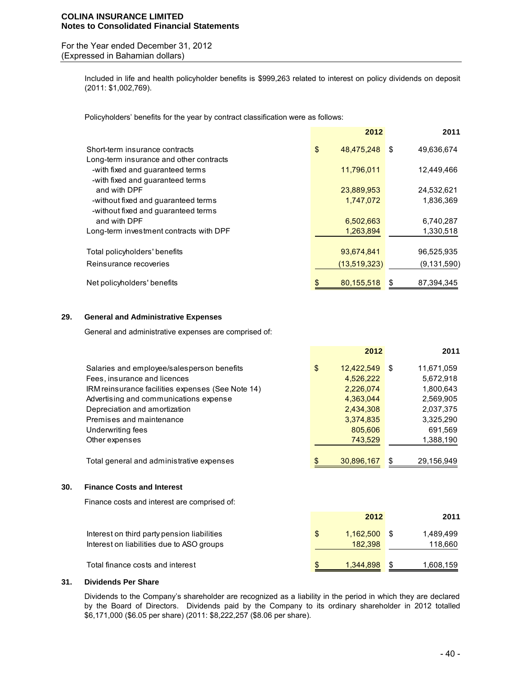## For the Year ended December 31, 2012 (Expressed in Bahamian dollars)

Included in life and health policyholder benefits is \$999,263 related to interest on policy dividends on deposit (2011: \$1,002,769).

Policyholders' benefits for the year by contract classification were as follows:

|                                                                                                                                                                                                                                                                                                 | 2012             | 2011             |
|-------------------------------------------------------------------------------------------------------------------------------------------------------------------------------------------------------------------------------------------------------------------------------------------------|------------------|------------------|
| Short-term insurance contracts<br>Long-term insurance and other contracts                                                                                                                                                                                                                       | \$<br>48,475,248 | \$<br>49,636,674 |
| -with fixed and guaranteed terms<br>-with fixed and guaranteed terms                                                                                                                                                                                                                            | 11,796,011       | 12,449,466       |
| and with DPF                                                                                                                                                                                                                                                                                    | 23,889,953       | 24,532,621       |
| -without fixed and guaranteed terms<br>-without fixed and guaranteed terms                                                                                                                                                                                                                      | 1,747,072        | 1,836,369        |
| and with DPF                                                                                                                                                                                                                                                                                    | 6,502,663        | 6,740,287        |
| Long-term investment contracts with DPF                                                                                                                                                                                                                                                         | 1,263,894        | 1,330,518        |
| Total policyholders' benefits                                                                                                                                                                                                                                                                   | 93,674,841       | 96,525,935       |
| Reinsurance recoveries                                                                                                                                                                                                                                                                          | (13,519,323)     | (9, 131, 590)    |
| Net policyholders' benefits                                                                                                                                                                                                                                                                     | \$<br>80,155,518 | \$<br>87,394,345 |
| <b>General and Administrative Expenses</b>                                                                                                                                                                                                                                                      |                  |                  |
| General and administrative expenses are comprised of:                                                                                                                                                                                                                                           |                  |                  |
|                                                                                                                                                                                                                                                                                                 |                  |                  |
|                                                                                                                                                                                                                                                                                                 | 2012             | 2011             |
| Salaries and employee/salesperson benefits                                                                                                                                                                                                                                                      | \$<br>12,422,549 | \$<br>11,671,059 |
| Fees, insurance and licences                                                                                                                                                                                                                                                                    | 4,526,222        | 5,672,918        |
| IRM reinsurance facilities expenses (See Note 14)                                                                                                                                                                                                                                               | 2,226,074        | 1,800,643        |
| Advertising and communications expense                                                                                                                                                                                                                                                          | 4,363,044        | 2,569,905        |
| Depreciation and amortization                                                                                                                                                                                                                                                                   | 2,434,308        | 2,037,375        |
| Premises and maintenance                                                                                                                                                                                                                                                                        | 3,374,835        | 3,325,290        |
| Underwriting fees                                                                                                                                                                                                                                                                               | 805,606          | 691,569          |
| Other expenses                                                                                                                                                                                                                                                                                  | 743,529          | 1,388,190        |
| Total general and administrative expenses                                                                                                                                                                                                                                                       | \$<br>30,896,167 | \$<br>29,156,949 |
| <b>Finance Costs and Interest</b>                                                                                                                                                                                                                                                               |                  |                  |
| Finance costs and interest are comprised of:                                                                                                                                                                                                                                                    |                  |                  |
|                                                                                                                                                                                                                                                                                                 | 2012             | 2011             |
| Interest on third party pension liabilities                                                                                                                                                                                                                                                     | \$<br>1,162,500  | \$<br>1,489,499  |
| Interest on liabilities due to ASO groups                                                                                                                                                                                                                                                       | 182,398          | 118,660          |
| Total finance costs and interest                                                                                                                                                                                                                                                                | \$<br>1,344,898  | \$<br>1,608,159  |
| <b>Dividends Per Share</b>                                                                                                                                                                                                                                                                      |                  |                  |
| Dividends to the Company's shareholder are recognized as a liability in the period in which they are declared<br>by the Board of Directors. Dividends paid by the Company to its ordinary shareholder in 2012 totalled<br>\$6,171,000 (\$6.05 per share) (2011: \$8,222,257 (\$8.06 per share). |                  |                  |

# **29. General and Administrative Expenses**

|                                                   | 2012             | 2011            |
|---------------------------------------------------|------------------|-----------------|
| Salaries and employee/salesperson benefits        | \$<br>12,422,549 | 11,671,059<br>S |
| Fees, insurance and licences                      | 4,526,222        | 5,672,918       |
| IRM reinsurance facilities expenses (See Note 14) | 2,226,074        | 1,800,643       |
| Advertising and communications expense            | 4,363,044        | 2,569,905       |
| Depreciation and amortization                     | 2,434,308        | 2,037,375       |
| Premises and maintenance                          | 3,374,835        | 3,325,290       |
| Underwriting fees                                 | 805,606          | 691,569         |
| Other expenses                                    | 743,529          | 1,388,190       |
| Total general and administrative expenses         | \$<br>30,896,167 | 29,156,949      |

## **30. Finance Costs and Interest**

|                                             |              | 2012      |      | 2011      |
|---------------------------------------------|--------------|-----------|------|-----------|
| Interest on third party pension liabilities | $\mathbf{s}$ | 1.162.500 | - \$ | 1,489,499 |
| Interest on liabilities due to ASO groups   |              | 182.398   |      | 118,660   |
| Total finance costs and interest            |              | 1,344,898 |      | 1,608,159 |

# **31. Dividends Per Share**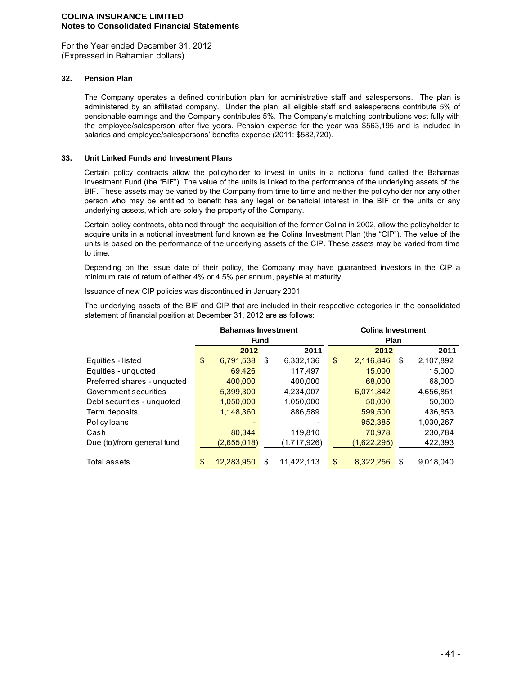## **32. Pension Plan**

The Company operates a defined contribution plan for administrative staff and salespersons. The plan is administered by an affiliated company. Under the plan, all eligible staff and salespersons contribute 5% of pensionable earnings and the Company contributes 5%. The Company's matching contributions vest fully with the employee/salesperson after five years. Pension expense for the year was \$563,195 and is included in salaries and employee/salespersons' benefits expense (2011: \$582,720).

## **33. Unit Linked Funds and Investment Plans**

Certain policy contracts allow the policyholder to invest in units in a notional fund called the Bahamas Investment Fund (the "BIF"). The value of the units is linked to the performance of the underlying assets of the BIF. These assets may be varied by the Company from time to time and neither the policyholder nor any other person who may be entitled to benefit has any legal or beneficial interest in the BIF or the units or any underlying assets, which are solely the property of the Company.

Certain policy contracts, obtained through the acquisition of the former Colina in 2002, allow the policyholder to acquire units in a notional investment fund known as the Colina Investment Plan (the "CIP"). The value of the units is based on the performance of the underlying assets of the CIP. These assets may be varied from time to time.

Depending on the issue date of their policy, the Company may have guaranteed investors in the CIP a minimum rate of return of either 4% or 4.5% per annum, payable at maturity.

Issuance of new CIP policies was discontinued in January 2001.

The underlying assets of the BIF and CIP that are included in their respective categories in the consolidated statement of financial position at December 31, 2012 are as follows:

|                             | <b>Bahamas Investment</b> |                  | <b>Colina Investment</b> |             |    |           |  |  |  |  |  |
|-----------------------------|---------------------------|------------------|--------------------------|-------------|----|-----------|--|--|--|--|--|
|                             | <b>Fund</b>               |                  | <b>Plan</b>              |             |    |           |  |  |  |  |  |
|                             | 2012                      | 2011             |                          | 2012        |    | 2011      |  |  |  |  |  |
| Equities - listed           | \$<br>6,791,538           | \$<br>6,332,136  | \$                       | 2,116,846   | \$ | 2,107,892 |  |  |  |  |  |
| Equities - unquoted         | 69,426                    | 117,497          |                          | 15,000      |    | 15,000    |  |  |  |  |  |
| Preferred shares - unquoted | 400,000                   | 400,000          |                          | 68,000      |    | 68,000    |  |  |  |  |  |
| Government securities       | 5,399,300                 | 4,234,007        |                          | 6,071,842   |    | 4,656,851 |  |  |  |  |  |
| Debt securities - unquoted  | 1,050,000                 | 1,050,000        |                          | 50,000      |    | 50,000    |  |  |  |  |  |
| Term deposits               | 1,148,360                 | 886,589          |                          | 599,500     |    | 436.853   |  |  |  |  |  |
| Policy loans                |                           | -                |                          | 952,385     |    | 1,030,267 |  |  |  |  |  |
| Cash                        | 80,344                    | 119,810          |                          | 70,978      |    | 230,784   |  |  |  |  |  |
| Due (to)/from general fund  | (2,655,018)               | (1,717,926)      |                          | (1,622,295) |    | 422,393   |  |  |  |  |  |
| Total assets                | 12,283,950                | \$<br>11,422,113 | \$                       | 8.322.256   |    | 9.018.040 |  |  |  |  |  |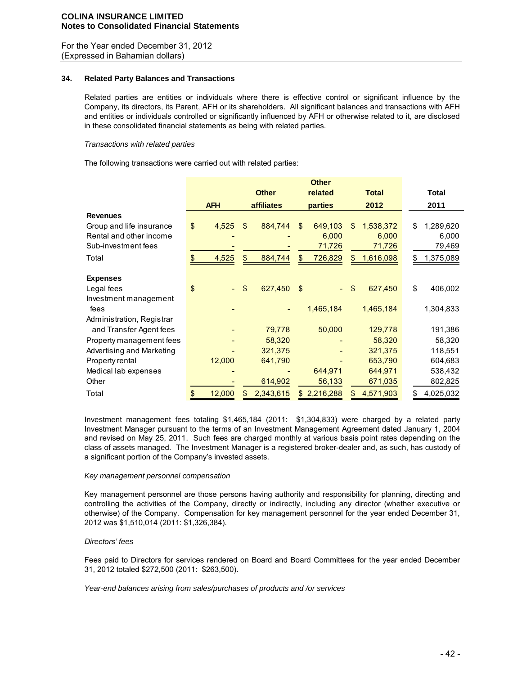For the Year ended December 31, 2012 (Expressed in Bahamian dollars)

## **34. Related Party Balances and Transactions**

Related parties are entities or individuals where there is effective control or significant influence by the Company, its directors, its Parent, AFH or its shareholders. All significant balances and transactions with AFH and entities or individuals controlled or significantly influenced by AFH or otherwise related to it, are disclosed in these consolidated financial statements as being with related parties.

## *Transactions with related parties*

The following transactions were carried out with related parties:

|                           |              | <b>Other</b>      | related                   | <b>Total</b>    | <b>Total</b>    |
|---------------------------|--------------|-------------------|---------------------------|-----------------|-----------------|
|                           | <b>AFH</b>   | <b>affiliates</b> | parties                   | 2012            | 2011            |
| <b>Revenues</b>           |              |                   |                           |                 |                 |
| Group and life insurance  | \$<br>4,525  | 884,744<br>\$     | 649,103<br>$\mathfrak{L}$ | 1,538,372<br>\$ | 1,289,620<br>\$ |
| Rental and other income   |              |                   | 6,000                     | 6,000           | 6,000           |
| Sub-investment fees       |              |                   | 71,726                    | 71,726          | 79,469          |
| Total                     | 4,525<br>\$  | \$<br>884,744     | \$<br>726,829             | 1,616,098<br>\$ | 1,375,089<br>\$ |
|                           |              |                   |                           |                 |                 |
| <b>Expenses</b>           |              |                   |                           |                 |                 |
| Legal fees                | \$           | \$<br>627,450     | \$                        | \$<br>627,450   | \$<br>406,002   |
| Investment management     |              |                   |                           |                 |                 |
| fees                      |              |                   | 1,465,184                 | 1,465,184       | 1,304,833       |
| Administration, Registrar |              |                   |                           |                 |                 |
| and Transfer Agent fees   |              | 79,778            | 50,000                    | 129,778         | 191,386         |
| Property management fees  |              | 58,320            |                           | 58,320          | 58,320          |
| Advertising and Marketing |              | 321,375           |                           | 321,375         | 118,551         |
| Property rental           | 12,000       | 641,790           |                           | 653,790         | 604,683         |
| Medical lab expenses      |              |                   | 644,971                   | 644,971         | 538,432         |
| Other                     |              | 614,902           | 56,133                    | 671,035         | 802,825         |
| Total                     | 12,000<br>\$ | 2,343,615         | 2,216,288<br>$\mathbf{S}$ | 4,571,903<br>S  | 4,025,032       |

Investment management fees totaling \$1,465,184 (2011: \$1,304,833) were charged by a related party Investment Manager pursuant to the terms of an Investment Management Agreement dated January 1, 2004 and revised on May 25, 2011. Such fees are charged monthly at various basis point rates depending on the class of assets managed. The Investment Manager is a registered broker-dealer and, as such, has custody of a significant portion of the Company's invested assets.

## *Key management personnel compensation*

Key management personnel are those persons having authority and responsibility for planning, directing and controlling the activities of the Company, directly or indirectly, including any director (whether executive or otherwise) of the Company. Compensation for key management personnel for the year ended December 31, 2012 was \$1,510,014 (2011: \$1,326,384).

## *Directors' fees*

Fees paid to Directors for services rendered on Board and Board Committees for the year ended December 31, 2012 totaled \$272,500 (2011: \$263,500).

*Year-end balances arising from sales/purchases of products and /or services*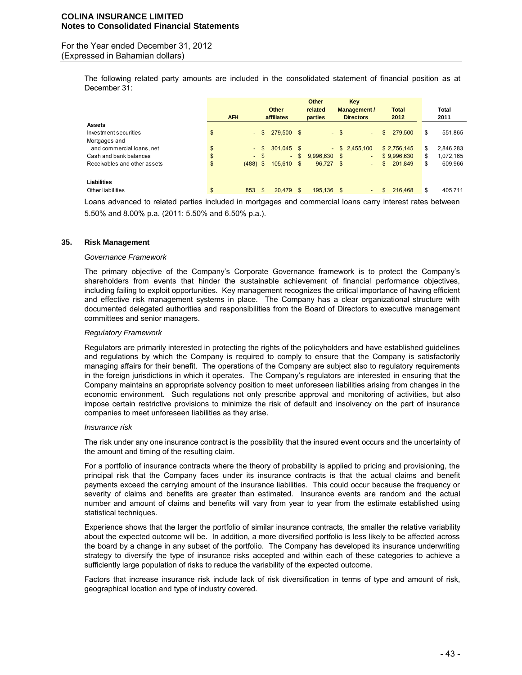For the Year ended December 31, 2012 (Expressed in Bahamian dollars)

> The following related party amounts are included in the consolidated statement of financial position as at December 31:

|                              | <b>AFH</b>             |        | <b>Other</b><br>affiliates |        | <b>Other</b><br>related<br><b>parties</b> | Key<br>Management /<br><b>Directors</b> | <b>Total</b><br>2012 | Total<br>2011   |
|------------------------------|------------------------|--------|----------------------------|--------|-------------------------------------------|-----------------------------------------|----------------------|-----------------|
| <b>Assets</b>                |                        |        |                            |        |                                           |                                         |                      |                 |
| Investment securities        | \$                     | $-$ \$ | 279,500 \$                 |        |                                           | $-$ \$<br>$\overline{\phantom{0}}$      | 279,500<br>\$        | \$<br>551,865   |
| Mortgages and                |                        |        |                            |        |                                           |                                         |                      |                 |
| and commercial loans, net    | \$<br>$\omega_{\rm c}$ | \$.    | $301,045$ \$               |        |                                           | $-$ \$ 2,455,100                        | \$2,756,145          | \$<br>2,846,283 |
| Cash and bank balances       | \$                     | $-$ \$ |                            | $-$ \$ | 9,996,630 \$                              | $\overline{\phantom{0}}$                | \$9,996,630          | \$<br>1,072,165 |
| Receivables and other assets | \$<br>$(488)$ \$       |        | 105,610                    | \$     | 96,727 \$                                 | ۰.                                      | \$<br>201,849        | \$<br>609,966   |
|                              |                        |        |                            |        |                                           |                                         |                      |                 |
| Liabilities                  |                        |        |                            |        |                                           |                                         |                      |                 |
| Other liabilities            | \$<br>853              | \$     | 20.479                     | \$.    | 195.136 \$                                | ۰.                                      | 216,468<br>\$        | \$<br>405,711   |

Loans advanced to related parties included in mortgages and commercial loans carry interest rates between 5.50% and 8.00% p.a. (2011: 5.50% and 6.50% p.a.).

## **35. Risk Management**

### *Governance Framework*

The primary objective of the Company's Corporate Governance framework is to protect the Company's shareholders from events that hinder the sustainable achievement of financial performance objectives, including failing to exploit opportunities. Key management recognizes the critical importance of having efficient and effective risk management systems in place. The Company has a clear organizational structure with documented delegated authorities and responsibilities from the Board of Directors to executive management committees and senior managers.

## *Regulatory Framework*

Regulators are primarily interested in protecting the rights of the policyholders and have established guidelines and regulations by which the Company is required to comply to ensure that the Company is satisfactorily managing affairs for their benefit. The operations of the Company are subject also to regulatory requirements in the foreign jurisdictions in which it operates. The Company's regulators are interested in ensuring that the Company maintains an appropriate solvency position to meet unforeseen liabilities arising from changes in the economic environment. Such regulations not only prescribe approval and monitoring of activities, but also impose certain restrictive provisions to minimize the risk of default and insolvency on the part of insurance companies to meet unforeseen liabilities as they arise.

#### *Insurance risk*

The risk under any one insurance contract is the possibility that the insured event occurs and the uncertainty of the amount and timing of the resulting claim.

For a portfolio of insurance contracts where the theory of probability is applied to pricing and provisioning, the principal risk that the Company faces under its insurance contracts is that the actual claims and benefit payments exceed the carrying amount of the insurance liabilities. This could occur because the frequency or severity of claims and benefits are greater than estimated. Insurance events are random and the actual number and amount of claims and benefits will vary from year to year from the estimate established using statistical techniques.

Experience shows that the larger the portfolio of similar insurance contracts, the smaller the relative variability about the expected outcome will be. In addition, a more diversified portfolio is less likely to be affected across the board by a change in any subset of the portfolio. The Company has developed its insurance underwriting strategy to diversify the type of insurance risks accepted and within each of these categories to achieve a sufficiently large population of risks to reduce the variability of the expected outcome.

Factors that increase insurance risk include lack of risk diversification in terms of type and amount of risk, geographical location and type of industry covered.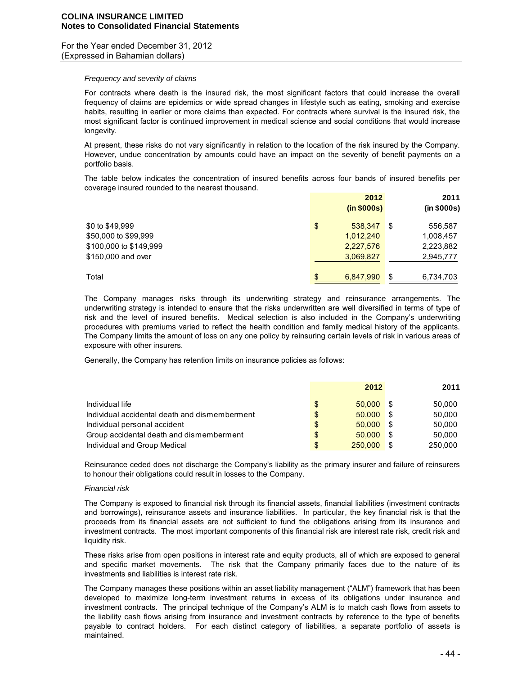For the Year ended December 31, 2012 (Expressed in Bahamian dollars)

## *Frequency and severity of claims*

For contracts where death is the insured risk, the most significant factors that could increase the overall frequency of claims are epidemics or wide spread changes in lifestyle such as eating, smoking and exercise habits, resulting in earlier or more claims than expected. For contracts where survival is the insured risk, the most significant factor is continued improvement in medical science and social conditions that would increase longevity.

At present, these risks do not vary significantly in relation to the location of the risk insured by the Company. However, undue concentration by amounts could have an impact on the severity of benefit payments on a portfolio basis.

The table below indicates the concentration of insured benefits across four bands of insured benefits per coverage insured rounded to the nearest thousand.

|                        | 2012<br>(in \$000s) |    | 2011<br>(in \$000s) |
|------------------------|---------------------|----|---------------------|
| \$0 to \$49,999        | \$<br>538,347       | S  | 556,587             |
| \$50,000 to \$99,999   | 1,012,240           |    | 1,008,457           |
| \$100,000 to \$149,999 | 2,227,576           |    | 2,223,882           |
| \$150,000 and over     | 3,069,827           |    | 2,945,777           |
| Total                  | \$<br>6,847,990     | \$ | 6,734,703           |

The Company manages risks through its underwriting strategy and reinsurance arrangements. The underwriting strategy is intended to ensure that the risks underwritten are well diversified in terms of type of risk and the level of insured benefits. Medical selection is also included in the Company's underwriting procedures with premiums varied to reflect the health condition and family medical history of the applicants. The Company limits the amount of loss on any one policy by reinsuring certain levels of risk in various areas of exposure with other insurers.

Generally, the Company has retention limits on insurance policies as follows:

|                                               | 2012          |      | 2011    |
|-----------------------------------------------|---------------|------|---------|
| Individual life                               | \$<br>50,000  |      | 50.000  |
| Individual accidental death and dismemberment | \$<br>50,000  | -S   | 50.000  |
| Individual personal accident                  | \$<br>50,000  | - \$ | 50.000  |
| Group accidental death and dismemberment      | \$<br>50,000  |      | 50.000  |
| Individual and Group Medical                  | \$<br>250,000 |      | 250,000 |

Reinsurance ceded does not discharge the Company's liability as the primary insurer and failure of reinsurers to honour their obligations could result in losses to the Company.

#### *Financial risk*

The Company is exposed to financial risk through its financial assets, financial liabilities (investment contracts and borrowings), reinsurance assets and insurance liabilities. In particular, the key financial risk is that the proceeds from its financial assets are not sufficient to fund the obligations arising from its insurance and investment contracts. The most important components of this financial risk are interest rate risk, credit risk and liquidity risk.

These risks arise from open positions in interest rate and equity products, all of which are exposed to general and specific market movements. The risk that the Company primarily faces due to the nature of its investments and liabilities is interest rate risk.

The Company manages these positions within an asset liability management ("ALM") framework that has been developed to maximize long-term investment returns in excess of its obligations under insurance and investment contracts. The principal technique of the Company's ALM is to match cash flows from assets to the liability cash flows arising from insurance and investment contracts by reference to the type of benefits payable to contract holders. For each distinct category of liabilities, a separate portfolio of assets is maintained.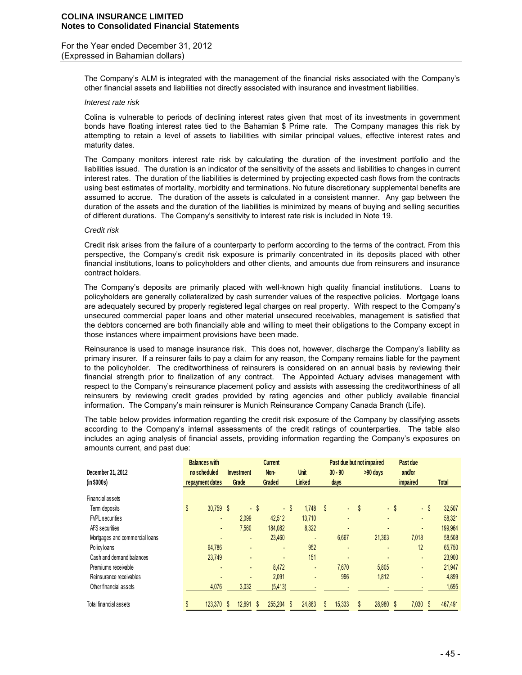> The Company's ALM is integrated with the management of the financial risks associated with the Company's other financial assets and liabilities not directly associated with insurance and investment liabilities.

#### *Interest rate risk*

Colina is vulnerable to periods of declining interest rates given that most of its investments in government bonds have floating interest rates tied to the Bahamian \$ Prime rate. The Company manages this risk by attempting to retain a level of assets to liabilities with similar principal values, effective interest rates and maturity dates.

The Company monitors interest rate risk by calculating the duration of the investment portfolio and the liabilities issued. The duration is an indicator of the sensitivity of the assets and liabilities to changes in current interest rates. The duration of the liabilities is determined by projecting expected cash flows from the contracts using best estimates of mortality, morbidity and terminations. No future discretionary supplemental benefits are assumed to accrue. The duration of the assets is calculated in a consistent manner. Any gap between the duration of the assets and the duration of the liabilities is minimized by means of buying and selling securities of different durations. The Company's sensitivity to interest rate risk is included in Note 19.

### *Credit risk*

Credit risk arises from the failure of a counterparty to perform according to the terms of the contract. From this perspective, the Company's credit risk exposure is primarily concentrated in its deposits placed with other financial institutions, loans to policyholders and other clients, and amounts due from reinsurers and insurance contract holders.

The Company's deposits are primarily placed with well-known high quality financial institutions. Loans to policyholders are generally collateralized by cash surrender values of the respective policies. Mortgage loans are adequately secured by properly registered legal charges on real property. With respect to the Company's unsecured commercial paper loans and other material unsecured receivables, management is satisfied that the debtors concerned are both financially able and willing to meet their obligations to the Company except in those instances where impairment provisions have been made.

Reinsurance is used to manage insurance risk. This does not, however, discharge the Company's liability as primary insurer. If a reinsurer fails to pay a claim for any reason, the Company remains liable for the payment to the policyholder. The creditworthiness of reinsurers is considered on an annual basis by reviewing their financial strength prior to finalization of any contract. The Appointed Actuary advises management with respect to the Company's reinsurance placement policy and assists with assessing the creditworthiness of all reinsurers by reviewing credit grades provided by rating agencies and other publicly available financial information. The Company's main reinsurer is Munich Reinsurance Company Canada Branch (Life).

The table below provides information regarding the credit risk exposure of the Company by classifying assets according to the Company's internal assessments of the credit ratings of counterparties. The table also includes an aging analysis of financial assets, providing information regarding the Company's exposures on amounts current, and past due:

| December 31, 2012              | <b>Balances with</b><br>no scheduled | Investment               | <b>Current</b><br>Non- | <b>Unit</b>   | $30 - 90$              | Past due but not impaired<br>>90 days | Past due<br>and/or     |              |
|--------------------------------|--------------------------------------|--------------------------|------------------------|---------------|------------------------|---------------------------------------|------------------------|--------------|
| (in \$000s)                    | repayment dates                      | Grade                    | Graded                 | <b>Linked</b> | days                   |                                       | <i>impaired</i>        | <b>Total</b> |
| Financial assets               |                                      |                          |                        |               |                        |                                       |                        |              |
| Term deposits                  | \$<br>30,759                         | S                        | $-$ \$                 | - \$<br>1,748 | S<br>$\Delta \sim 100$ | \$<br>÷.                              | -S<br>- \$             | 32,507       |
| <b>FVPL</b> securities         |                                      | 2,099                    | 42,512                 | 13,710        |                        |                                       |                        | 58,321       |
| AFS securities                 | ٠                                    | 7,560                    | 184.082                | 8,322         |                        |                                       | ٠                      | 199,964      |
| Mortgages and commercial loans |                                      |                          | 23,460                 |               | 6,667                  | 21,363                                | 7,018                  | 58,508       |
| Policy loans                   | 64,786                               |                          | ٠                      | 952           |                        |                                       | 12                     | 65,750       |
| Cash and demand balances       | 23,749                               |                          |                        | 151           |                        |                                       | ۰                      | 23,900       |
| Premiums receivable            |                                      |                          | 8,472                  | ٠             | 7,670                  | 5,805                                 |                        | 21,947       |
| Reinsurance receivables        |                                      | $\overline{\phantom{a}}$ | 2.091                  | ۰             | 996                    | 1.812                                 |                        | 4,899        |
| Other financial assets         | 4,076                                | 3,032                    | (5, 413)               |               |                        |                                       |                        | 1,695        |
| Total financial assets         | 123,370                              | 12,691<br>S              | 255,204<br>S           | 24,883<br>S   | 15,333                 | 28,980                                | 7,030<br><sup>\$</sup> | 467,491<br>S |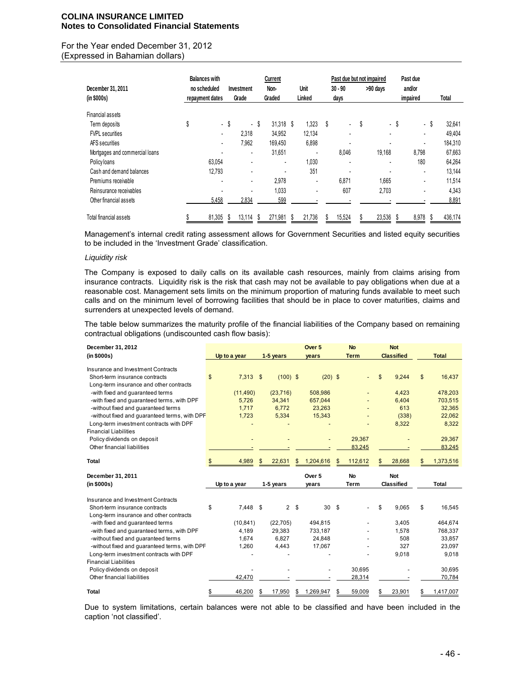## For the Year ended December 31, 2012 (Expressed in Bahamian dollars)

|                                | <b>Balances with</b> |      |            |      | Current                  |   |                          |   | Past due but not impaired |    |          |      | Past due       |   |         |  |
|--------------------------------|----------------------|------|------------|------|--------------------------|---|--------------------------|---|---------------------------|----|----------|------|----------------|---|---------|--|
| December 31, 2011              | no scheduled         |      | Investment |      | Non-                     |   | Unit                     |   | $30 - 90$                 |    | >90 days |      | and/or         |   |         |  |
| (in \$000s)                    | repayment dates      |      | Grade      |      | Graded                   |   | Linked                   |   | days                      |    |          |      | impaired       |   | Total   |  |
| Financial assets               |                      |      |            |      |                          |   |                          |   |                           |    |          |      |                |   |         |  |
| Term deposits                  | \$                   | - \$ |            | - \$ | $31,318$ \$              |   | 1,323                    | S | $\overline{\phantom{a}}$  | \$ |          | - \$ | ÷.             | S | 32,641  |  |
| <b>FVPL</b> securities         |                      |      | 2,318      |      | 34,952                   |   | 12,134                   |   | $\overline{\phantom{a}}$  |    |          |      | ٠              |   | 49,404  |  |
| AFS securities                 |                      |      | 7.962      |      | 169.450                  |   | 6,898                    |   | ٠                         |    | ٠        |      | $\blacksquare$ |   | 184,310 |  |
| Mortgages and commercial loans |                      |      | ٠          |      | 31,651                   |   | $\overline{\phantom{a}}$ |   | 8,046                     |    | 19,168   |      | 8,798          |   | 67,663  |  |
| Policy loans                   | 63,054               |      |            |      | ٠                        |   | 1,030                    |   |                           |    |          |      | 180            |   | 64,264  |  |
| Cash and demand balances       | 12,793               |      | ٠          |      | $\overline{\phantom{a}}$ |   | 351                      |   | $\overline{\phantom{a}}$  |    | ۰        |      | $\blacksquare$ |   | 13,144  |  |
| Premiums receivable            |                      |      | ٠          |      | 2,978                    |   | $\blacksquare$           |   | 6,871                     |    | 1,665    |      | $\blacksquare$ |   | 11,514  |  |
| Reinsurance receivables        |                      |      |            |      | 1,033                    |   |                          |   | 607                       |    | 2,703    |      | ٠              |   | 4,343   |  |
| Other financial assets         | 5,458                |      | 2,834      |      | 599                      |   |                          |   |                           |    |          |      |                |   | 8,891   |  |
| Total financial assets         | \$<br>81,305         | S    | 13,114     | S    | 271,981                  | S | 21,736                   |   | 15,524                    | \$ | 23,536   | S    | 8,978          | S | 436,174 |  |

## *Liquidity risk*

| December 31, 2011<br>no scheduled<br>(in \$000s)<br>repayment dates<br>Financial assets<br>\$<br>Term deposits                                                                                                                                                                                                                                                                                                                                                                                                                                                                                                            | Investment<br>Grade   | Non-                |                |                   |           |             |          |                   |      |                   |
|---------------------------------------------------------------------------------------------------------------------------------------------------------------------------------------------------------------------------------------------------------------------------------------------------------------------------------------------------------------------------------------------------------------------------------------------------------------------------------------------------------------------------------------------------------------------------------------------------------------------------|-----------------------|---------------------|----------------|-------------------|-----------|-------------|----------|-------------------|------|-------------------|
|                                                                                                                                                                                                                                                                                                                                                                                                                                                                                                                                                                                                                           |                       |                     |                | Unit              | 30 - 90   |             | >90 days | and/or            |      |                   |
|                                                                                                                                                                                                                                                                                                                                                                                                                                                                                                                                                                                                                           |                       | Graded              |                | Linked            | days      |             |          | impaired          |      | Total             |
|                                                                                                                                                                                                                                                                                                                                                                                                                                                                                                                                                                                                                           |                       |                     |                |                   |           |             |          |                   |      |                   |
|                                                                                                                                                                                                                                                                                                                                                                                                                                                                                                                                                                                                                           | S<br>÷.               | - \$<br>$31,318$ \$ |                | 1,323             | S         | S           |          | - \$              | - \$ | 32,641            |
|                                                                                                                                                                                                                                                                                                                                                                                                                                                                                                                                                                                                                           |                       |                     |                |                   |           |             |          |                   |      |                   |
| <b>FVPL</b> securities                                                                                                                                                                                                                                                                                                                                                                                                                                                                                                                                                                                                    | 2,318                 | 34,952              |                | 12,134            |           |             |          |                   |      | 49,404            |
| AFS securities                                                                                                                                                                                                                                                                                                                                                                                                                                                                                                                                                                                                            | 7,962                 | 169,450             |                | 6,898             |           |             |          |                   |      | 184,310           |
| Mortgages and commercial loans                                                                                                                                                                                                                                                                                                                                                                                                                                                                                                                                                                                            |                       | 31,651              |                | ä,                | 8,046     |             | 19,168   | 8,798             |      | 67,663            |
| Policy loans<br>63,054                                                                                                                                                                                                                                                                                                                                                                                                                                                                                                                                                                                                    |                       |                     |                | 1,030             |           |             |          | 180               |      | 64,264            |
| Cash and demand balances<br>12,793                                                                                                                                                                                                                                                                                                                                                                                                                                                                                                                                                                                        |                       |                     | ÷,             | 351               |           |             |          |                   |      | 13,144            |
| Premiums receivable                                                                                                                                                                                                                                                                                                                                                                                                                                                                                                                                                                                                       |                       | 2,978               |                |                   | 6,871     |             | 1,665    |                   |      | 11,514            |
| Reinsurance receivables                                                                                                                                                                                                                                                                                                                                                                                                                                                                                                                                                                                                   |                       | 1,033               |                |                   | 607       |             | 2,703    |                   |      | 4,343             |
| Other financial assets<br>5,458                                                                                                                                                                                                                                                                                                                                                                                                                                                                                                                                                                                           | 2,834                 | 599                 |                |                   |           |             |          |                   |      | 8,891             |
| Total financial assets<br>\$                                                                                                                                                                                                                                                                                                                                                                                                                                                                                                                                                                                              | $81,305$ \$<br>13,114 | 271,981<br>S        | \$             | 21,736            | 15,524    |             | 23,536   | 8,978             | \$   | 436,174           |
| Management's internal credit rating assessment allows for Government Securities and listed equity securities<br>to be included in the 'Investment Grade' classification.<br>Liquidity risk                                                                                                                                                                                                                                                                                                                                                                                                                                |                       |                     |                |                   |           |             |          |                   |      |                   |
|                                                                                                                                                                                                                                                                                                                                                                                                                                                                                                                                                                                                                           |                       |                     |                |                   |           |             |          |                   |      |                   |
| The Company is exposed to daily calls on its available cash resources, mainly from claims arising from<br>insurance contracts. Liquidity risk is the risk that cash may not be available to pay obligations when due at a<br>reasonable cost. Management sets limits on the minimum proportion of maturing funds available to meet such<br>calls and on the minimum level of borrowing facilities that should be in place to cover maturities, claims and<br>surrenders at unexpected levels of demand.<br>The table below summarizes the maturity profile of the financial liabilities of the Company based on remaining |                       |                     |                |                   |           |             |          |                   |      |                   |
| contractual obligations (undiscounted cash flow basis):                                                                                                                                                                                                                                                                                                                                                                                                                                                                                                                                                                   |                       |                     |                |                   |           |             |          |                   |      |                   |
| December 31, 2012                                                                                                                                                                                                                                                                                                                                                                                                                                                                                                                                                                                                         |                       |                     |                | Over <sub>5</sub> |           | <b>No</b>   |          | <b>Not</b>        |      |                   |
| (in \$000s)                                                                                                                                                                                                                                                                                                                                                                                                                                                                                                                                                                                                               | Up to a year          | 1-5 years           |                | years             |           | <b>Term</b> |          | <b>Classified</b> |      | <b>Total</b>      |
| Insurance and Investment Contracts                                                                                                                                                                                                                                                                                                                                                                                                                                                                                                                                                                                        |                       |                     |                |                   |           |             |          |                   |      |                   |
| Short-term insurance contracts<br>\$                                                                                                                                                                                                                                                                                                                                                                                                                                                                                                                                                                                      | $7,313$ \$            |                     | $(100)$ \$     |                   | $(20)$ \$ |             | \$       | 9,244<br>\$       |      | 16,437            |
| Long-term insurance and other contracts                                                                                                                                                                                                                                                                                                                                                                                                                                                                                                                                                                                   |                       |                     |                |                   |           |             |          |                   |      |                   |
| -with fixed and guaranteed terms                                                                                                                                                                                                                                                                                                                                                                                                                                                                                                                                                                                          | (11, 490)             | (23, 716)           |                | 508,986           |           |             |          | 4,423             |      | 478,203           |
| -with fixed and guaranteed terms, with DPF                                                                                                                                                                                                                                                                                                                                                                                                                                                                                                                                                                                | 5,726<br>1,717        | 34,341<br>6,772     |                | 657,044<br>23,263 |           |             |          | 6,404<br>613      |      | 703,515<br>32,365 |
| -without fixed and guaranteed terms<br>-without fixed and guaranteed terms, with DPF                                                                                                                                                                                                                                                                                                                                                                                                                                                                                                                                      | 1,723                 | 5,334               |                | 15,343            |           |             |          | (338)             |      | 22,062            |
| Long-term investment contracts with DPF                                                                                                                                                                                                                                                                                                                                                                                                                                                                                                                                                                                   |                       |                     |                |                   |           |             |          | 8,322             |      | 8,322             |
| <b>Financial Liabilities</b>                                                                                                                                                                                                                                                                                                                                                                                                                                                                                                                                                                                              |                       |                     |                |                   |           |             |          |                   |      |                   |
| Policy dividends on deposit                                                                                                                                                                                                                                                                                                                                                                                                                                                                                                                                                                                               |                       |                     |                |                   |           | 29,367      |          |                   |      | 29,367            |
| Other financial liabilities                                                                                                                                                                                                                                                                                                                                                                                                                                                                                                                                                                                               |                       |                     |                |                   |           | 83,245      |          |                   |      | 83,245            |
|                                                                                                                                                                                                                                                                                                                                                                                                                                                                                                                                                                                                                           | 4,989                 | 22,631              |                | ,204,616          |           | 112,612     |          | 28,668            |      | 1,373,516         |
| Total                                                                                                                                                                                                                                                                                                                                                                                                                                                                                                                                                                                                                     |                       |                     |                |                   |           |             |          |                   |      |                   |
|                                                                                                                                                                                                                                                                                                                                                                                                                                                                                                                                                                                                                           |                       |                     |                |                   |           |             |          |                   |      |                   |
| December 31, 2011                                                                                                                                                                                                                                                                                                                                                                                                                                                                                                                                                                                                         |                       |                     |                | Over 5            |           | No          |          | Not               |      |                   |
| (in \$000s)                                                                                                                                                                                                                                                                                                                                                                                                                                                                                                                                                                                                               | Up to a year          | 1-5 years           |                | years             |           | Term        |          | Classified        |      | Total             |
| Insurance and Investment Contracts<br>Short-term insurance contracts<br>\$                                                                                                                                                                                                                                                                                                                                                                                                                                                                                                                                                | 7,448                 | - \$                | 2 <sup>5</sup> |                   | 30<br>-\$ |             | \$       | 9,065<br>\$       |      | 16,545            |
| Long-term insurance and other contracts                                                                                                                                                                                                                                                                                                                                                                                                                                                                                                                                                                                   |                       |                     |                |                   |           |             |          |                   |      |                   |
| -with fixed and guaranteed terms                                                                                                                                                                                                                                                                                                                                                                                                                                                                                                                                                                                          | (10, 841)             | (22, 705)           |                | 494,815           |           |             |          | 3,405             |      | 464,674           |
| -with fixed and guaranteed terms, with DPF                                                                                                                                                                                                                                                                                                                                                                                                                                                                                                                                                                                | 4,189                 | 29,383              |                | 733,187           |           |             |          | 1,578             |      | 768,337           |
| -without fixed and guaranteed terms                                                                                                                                                                                                                                                                                                                                                                                                                                                                                                                                                                                       | 1,674                 | 6,827               |                | 24,848            |           |             |          | 508               |      | 33,857            |
| -without fixed and guaranteed terms, with DPF                                                                                                                                                                                                                                                                                                                                                                                                                                                                                                                                                                             | 1,260                 | 4,443               |                | 17,067            |           |             |          | 327               |      | 23,097            |
| Long-term investment contracts with DPF<br><b>Financial Liabilities</b>                                                                                                                                                                                                                                                                                                                                                                                                                                                                                                                                                   |                       |                     |                |                   |           |             |          | 9,018             |      | 9,018             |
| Policy dividends on deposit                                                                                                                                                                                                                                                                                                                                                                                                                                                                                                                                                                                               |                       |                     |                |                   |           | 30,695      |          |                   |      | 30,695            |
| Other financial liabilities                                                                                                                                                                                                                                                                                                                                                                                                                                                                                                                                                                                               | 42,470                |                     |                |                   |           | 28,314      |          |                   |      | 70,784            |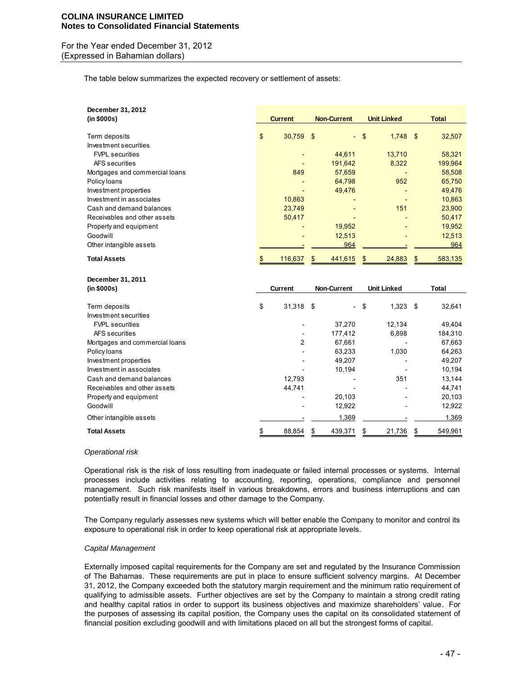For the Year ended December 31, 2012 (Expressed in Bahamian dollars)

The table below summarizes the expected recovery or settlement of assets:

| December 31, 2012<br>(in \$000s) |                           | <b>Current</b> |              | <b>Non-Current</b>       | <b>Unit Linked</b> |     | <b>Total</b> |
|----------------------------------|---------------------------|----------------|--------------|--------------------------|--------------------|-----|--------------|
| Term deposits                    | $\boldsymbol{\mathsf{S}}$ | 30,759         | $\mathbf{s}$ | ÷                        | \$<br>1,748        | -\$ | 32,507       |
| Investment securities            |                           |                |              |                          |                    |     |              |
| <b>FVPL</b> securities           |                           |                |              | 44,611                   | 13,710             |     | 58,321       |
| AFS securities                   |                           |                |              | 191,642                  | 8,322              |     | 199,964      |
| Mortgages and commercial loans   |                           | 849            |              | 57,659                   |                    |     | 58,508       |
| Policy loans                     |                           |                |              | 64,798                   | 952                |     | 65,750       |
| Investment properties            |                           |                |              | 49,476                   |                    |     | 49,476       |
| Investment in associates         |                           | 10,863         |              |                          |                    |     | 10,863       |
| Cash and demand balances         |                           | 23,749         |              |                          | 151                |     | 23,900       |
| Receivables and other assets     |                           | 50,417         |              |                          |                    |     | 50,417       |
| Property and equipment           |                           |                |              | 19,952                   |                    |     | 19,952       |
| Goodwill                         |                           |                |              | 12,513                   |                    |     | 12,513       |
| Other intangible assets          |                           |                |              | 964                      |                    |     | 964          |
| <b>Total Assets</b>              | \$                        | 116,637        | \$           | 441,615                  | \$<br>24,883       | \$  | 583,135      |
| December 31, 2011                |                           |                |              |                          |                    |     |              |
| (in \$000s)                      |                           | <b>Current</b> |              | Non-Current              | <b>Unit Linked</b> |     | <b>Total</b> |
| Term deposits                    | \$                        | 31,318         | \$           | $\overline{\phantom{0}}$ | \$<br>1,323        | -\$ | 32,641       |
| Investment securities            |                           |                |              |                          |                    |     |              |
| <b>FVPL</b> securities           |                           |                |              | 37,270                   | 12,134             |     | 49,404       |
| AFS securities                   |                           |                |              | 177,412                  | 6,898              |     | 184,310      |
| Mortgages and commercial loans   |                           | 2              |              | 67,661                   |                    |     | 67,663       |
| Policy loans                     |                           |                |              | 63,233                   | 1,030              |     | 64,263       |
| Investment properties            |                           |                |              | 49,207                   | $\overline{a}$     |     | 49,207       |
| Investment in associates         |                           |                |              | 10,194                   |                    |     | 10,194       |
| Cash and demand balances         |                           | 12,793         |              |                          | 351                |     | 13,144       |
| Receivables and other assets     |                           | 44,741         |              |                          |                    |     | 44,741       |
| Property and equipment           |                           |                |              | 20,103                   |                    |     | 20,103       |
| Goodwill                         |                           |                |              | 12,922                   |                    |     | 12,922       |
| Other intangible assets          |                           |                |              | 1,369                    |                    |     | 1,369        |

#### *Operational risk*

Operational risk is the risk of loss resulting from inadequate or failed internal processes or systems. Internal processes include activities relating to accounting, reporting, operations, compliance and personnel management. Such risk manifests itself in various breakdowns, errors and business interruptions and can potentially result in financial losses and other damage to the Company.

**Total Assets** \$ 88,854 \$ 439,371 \$ 21,736 \$ 549,961

The Company regularly assesses new systems which will better enable the Company to monitor and control its exposure to operational risk in order to keep operational risk at appropriate levels.

## *Capital Management*

Externally imposed capital requirements for the Company are set and regulated by the Insurance Commission of The Bahamas. These requirements are put in place to ensure sufficient solvency margins. At December 31, 2012, the Company exceeded both the statutory margin requirement and the minimum ratio requirement of qualifying to admissible assets. Further objectives are set by the Company to maintain a strong credit rating and healthy capital ratios in order to support its business objectives and maximize shareholders' value. For the purposes of assessing its capital position, the Company uses the capital on its consolidated statement of financial position excluding goodwill and with limitations placed on all but the strongest forms of capital.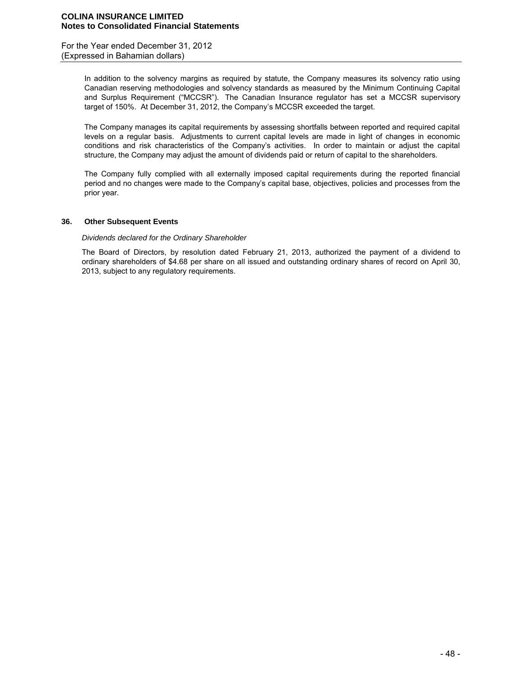> In addition to the solvency margins as required by statute, the Company measures its solvency ratio using Canadian reserving methodologies and solvency standards as measured by the Minimum Continuing Capital and Surplus Requirement ("MCCSR"). The Canadian Insurance regulator has set a MCCSR supervisory target of 150%. At December 31, 2012, the Company's MCCSR exceeded the target.

> The Company manages its capital requirements by assessing shortfalls between reported and required capital levels on a regular basis. Adjustments to current capital levels are made in light of changes in economic conditions and risk characteristics of the Company's activities. In order to maintain or adjust the capital structure, the Company may adjust the amount of dividends paid or return of capital to the shareholders.

> The Company fully complied with all externally imposed capital requirements during the reported financial period and no changes were made to the Company's capital base, objectives, policies and processes from the prior year.

## **36. Other Subsequent Events**

## *Dividends declared for the Ordinary Shareholder*

The Board of Directors, by resolution dated February 21, 2013, authorized the payment of a dividend to ordinary shareholders of \$4.68 per share on all issued and outstanding ordinary shares of record on April 30, 2013, subject to any regulatory requirements.